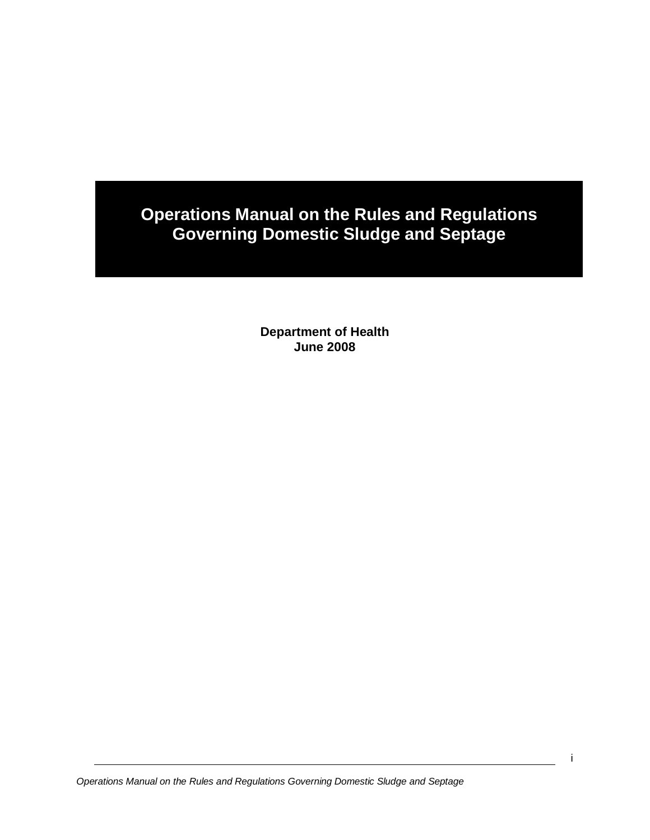# **Operations Manual on the Rules and Regulations Governing Domestic Sludge and Septage**

**Department of Health June 2008**

*Operations Manual on the Rules and Regulations Governing Domestic Sludge and Septage*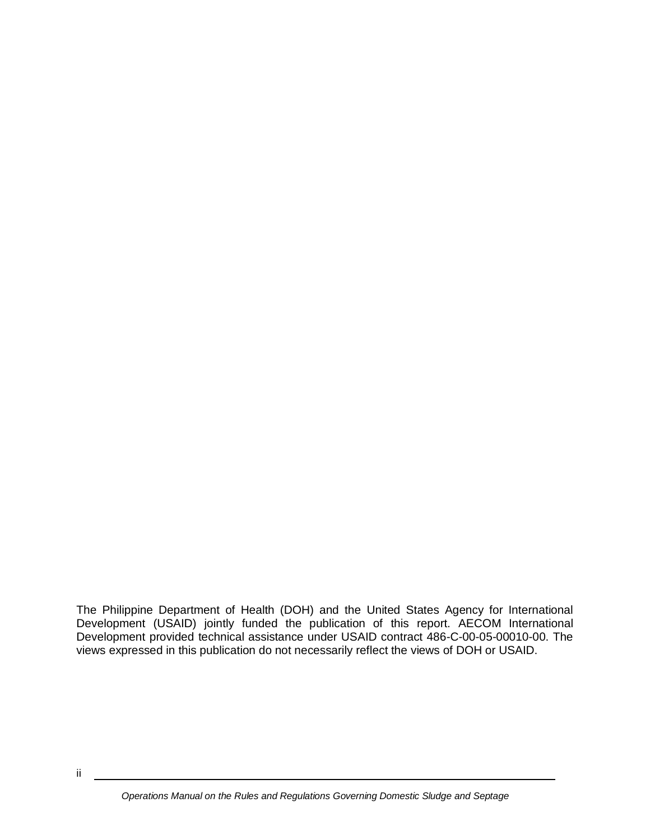The Philippine Department of Health (DOH) and the United States Agency for International Development (USAID) jointly funded the publication of this report. AECOM International Development provided technical assistance under USAID contract 486-C-00-05-00010-00. The views expressed in this publication do not necessarily reflect the views of DOH or USAID.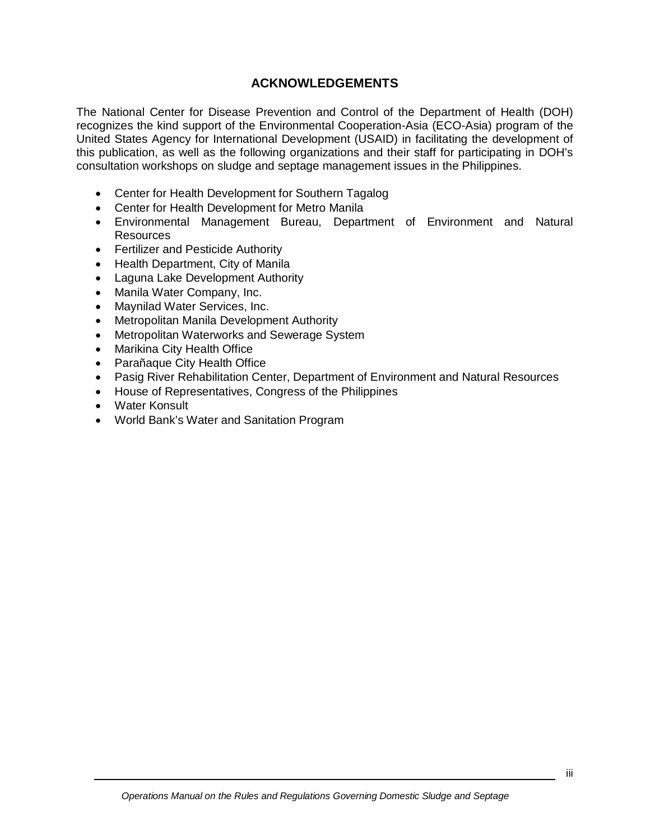# **ACKNOWLEDGEMENTS**

The National Center for Disease Prevention and Control of the Department of Health (DOH) recognizes the kind support of the Environmental Cooperation-Asia (ECO-Asia) program of the United States Agency for International Development (USAID) in facilitating the development of this publication, as well as the following organizations and their staff for participating in DOH's consultation workshops on sludge and septage management issues in the Philippines.

- Center for Health Development for Southern Tagalog
- Center for Health Development for Metro Manila
- Environmental Management Bureau, Department of Environment and Natural Resources
- Fertilizer and Pesticide Authority
- Health Department, City of Manila
- Laguna Lake Development Authority
- Manila Water Company, Inc.
- Maynilad Water Services, Inc.
- Metropolitan Manila Development Authority
- Metropolitan Waterworks and Sewerage System
- Marikina City Health Office
- Parañaque City Health Office
- Pasig River Rehabilitation Center, Department of Environment and Natural Resources
- House of Representatives, Congress of the Philippines
- Water Konsult
- World Bank's Water and Sanitation Program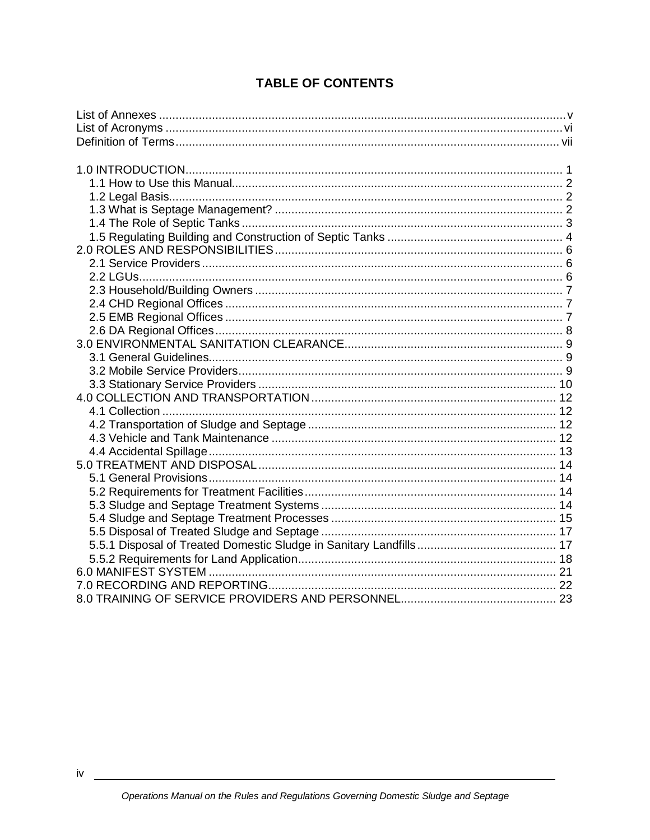# **TABLE OF CONTENTS**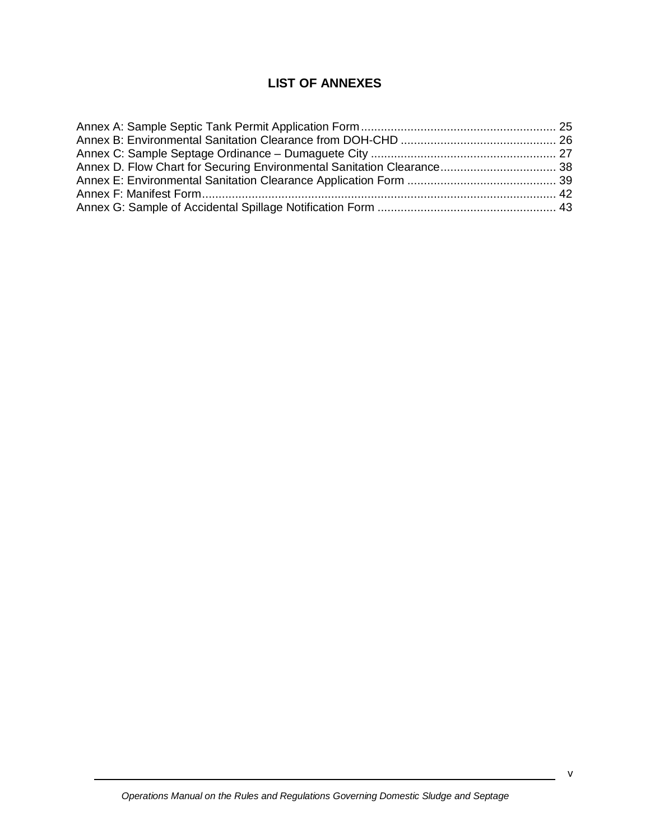# **LIST OF ANNEXES**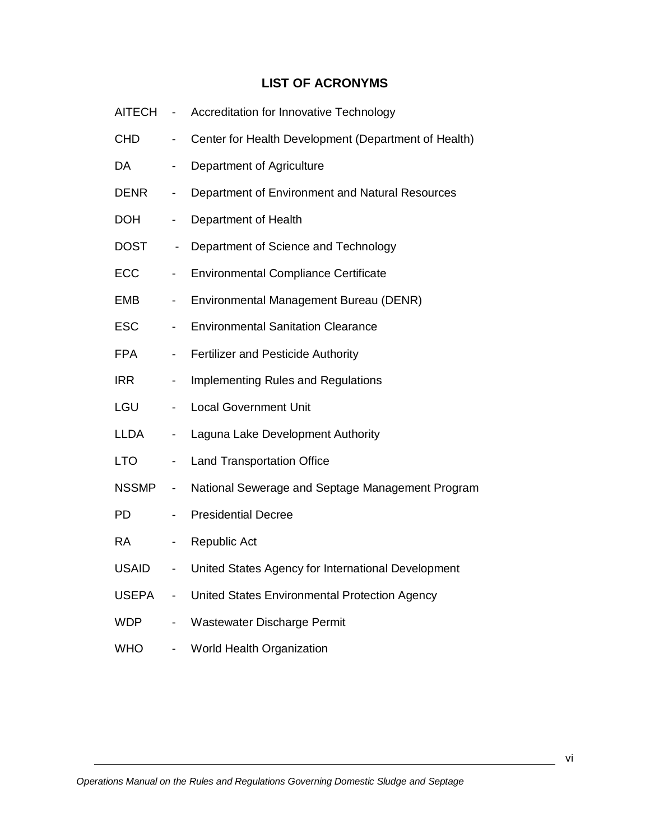# **LIST OF ACRONYMS**

| <b>AITECH</b> | $\overline{\phantom{0}}$     | <b>Accreditation for Innovative Technology</b>       |
|---------------|------------------------------|------------------------------------------------------|
| <b>CHD</b>    | $\overline{\phantom{0}}$     | Center for Health Development (Department of Health) |
| <b>DA</b>     | -                            | Department of Agriculture                            |
| <b>DENR</b>   | -                            | Department of Environment and Natural Resources      |
| <b>DOH</b>    | $\overline{\phantom{0}}$     | Department of Health                                 |
| <b>DOST</b>   | $\overline{\phantom{0}}$     | Department of Science and Technology                 |
| ECC           | $\overline{\phantom{0}}$     | <b>Environmental Compliance Certificate</b>          |
| <b>EMB</b>    | $\overline{\phantom{0}}$     | Environmental Management Bureau (DENR)               |
| <b>ESC</b>    | $\overline{\phantom{0}}$     | <b>Environmental Sanitation Clearance</b>            |
| <b>FPA</b>    | $\overline{\phantom{0}}$     | <b>Fertilizer and Pesticide Authority</b>            |
| <b>IRR</b>    | -                            | <b>Implementing Rules and Regulations</b>            |
| LGU           | -                            | <b>Local Government Unit</b>                         |
| <b>LLDA</b>   | -                            | Laguna Lake Development Authority                    |
| <b>LTO</b>    | $\qquad \qquad \blacksquare$ | <b>Land Transportation Office</b>                    |
| <b>NSSMP</b>  | $\overline{\phantom{0}}$     | National Sewerage and Septage Management Program     |
| <b>PD</b>     | $\overline{\phantom{0}}$     | <b>Presidential Decree</b>                           |
| <b>RA</b>     | $\overline{\phantom{0}}$     | Republic Act                                         |
| <b>USAID</b>  | $\overline{\phantom{0}}$     | United States Agency for International Development   |
| <b>USEPA</b>  | $\overline{\phantom{0}}$     | United States Environmental Protection Agency        |
| <b>WDP</b>    | $\overline{\phantom{0}}$     | <b>Wastewater Discharge Permit</b>                   |
| <b>WHO</b>    | $\overline{\phantom{0}}$     | World Health Organization                            |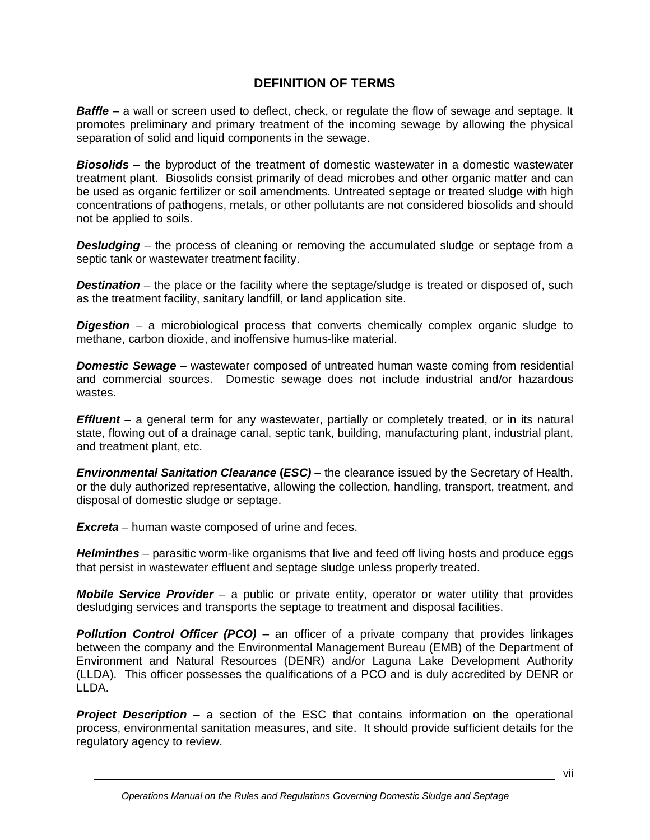# **DEFINITION OF TERMS**

**Baffle** – a wall or screen used to deflect, check, or regulate the flow of sewage and septage. It promotes preliminary and primary treatment of the incoming sewage by allowing the physical separation of solid and liquid components in the sewage.

*Biosolids* – the byproduct of the treatment of domestic wastewater in a domestic wastewater treatment plant. Biosolids consist primarily of dead microbes and other organic matter and can be used as organic fertilizer or soil amendments. Untreated septage or treated sludge with high concentrations of pathogens, metals, or other pollutants are not considered biosolids and should not be applied to soils.

*Desludging* – the process of cleaning or removing the accumulated sludge or septage from a septic tank or wastewater treatment facility.

**Destination** – the place or the facility where the septage/sludge is treated or disposed of, such as the treatment facility, sanitary landfill, or land application site.

*Digestion* – a microbiological process that converts chemically complex organic sludge to methane, carbon dioxide, and inoffensive humus-like material.

*Domestic Sewage* – wastewater composed of untreated human waste coming from residential and commercial sources. Domestic sewage does not include industrial and/or hazardous wastes.

*Effluent* – a general term for any wastewater, partially or completely treated, or in its natural state, flowing out of a drainage canal, septic tank, building, manufacturing plant, industrial plant, and treatment plant, etc.

*Environmental Sanitation Clearance* **(***ESC)* – the clearance issued by the Secretary of Health, or the duly authorized representative, allowing the collection, handling, transport, treatment, and disposal of domestic sludge or septage.

*Excreta* – human waste composed of urine and feces.

*Helminthes* – parasitic worm-like organisms that live and feed off living hosts and produce eggs that persist in wastewater effluent and septage sludge unless properly treated.

*Mobile Service Provider* – a public or private entity, operator or water utility that provides desludging services and transports the septage to treatment and disposal facilities.

*Pollution Control Officer (PCO) –* an officer of a private company that provides linkages between the company and the Environmental Management Bureau (EMB) of the Department of Environment and Natural Resources (DENR) and/or Laguna Lake Development Authority (LLDA). This officer possesses the qualifications of a PCO and is duly accredited by DENR or LLDA.

**Project Description** – a section of the ESC that contains information on the operational process, environmental sanitation measures, and site. It should provide sufficient details for the regulatory agency to review.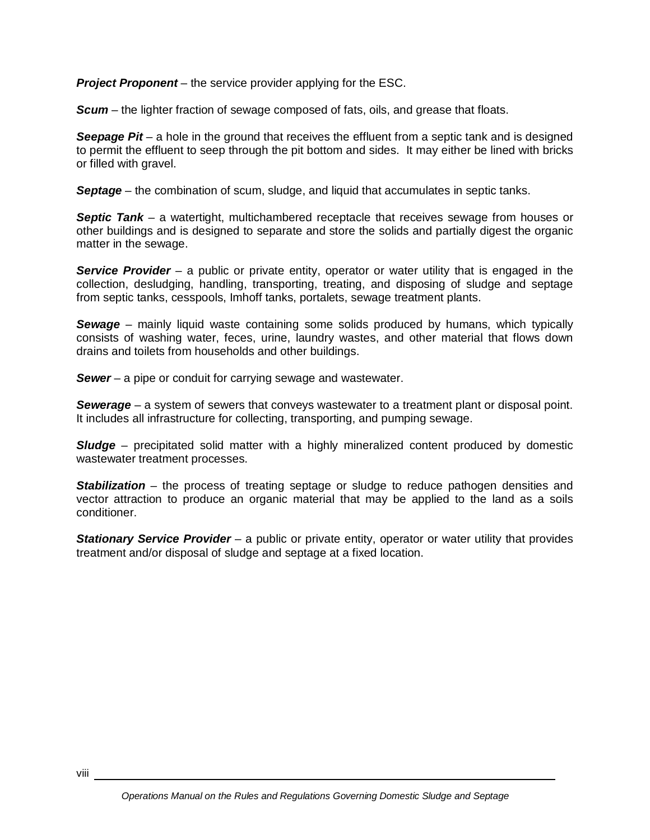*Project Proponent* – the service provider applying for the ESC.

*Scum* – the lighter fraction of sewage composed of fats, oils, and grease that floats.

**Seepage Pit** – a hole in the ground that receives the effluent from a septic tank and is designed to permit the effluent to seep through the pit bottom and sides. It may either be lined with bricks or filled with gravel.

*Septage* – the combination of scum, sludge, and liquid that accumulates in septic tanks.

*Septic Tank* – a watertight, multichambered receptacle that receives sewage from houses or other buildings and is designed to separate and store the solids and partially digest the organic matter in the sewage.

**Service Provider** – a public or private entity, operator or water utility that is engaged in the collection, desludging, handling, transporting, treating, and disposing of sludge and septage from septic tanks, cesspools, Imhoff tanks, portalets, sewage treatment plants.

*Sewage* – mainly liquid waste containing some solids produced by humans, which typically consists of washing water, feces, urine, laundry wastes, and other material that flows down drains and toilets from households and other buildings.

*Sewer* – a pipe or conduit for carrying sewage and wastewater.

*Sewerage* – a system of sewers that conveys wastewater to a treatment plant or disposal point. It includes all infrastructure for collecting, transporting, and pumping sewage.

**Sludge** – precipitated solid matter with a highly mineralized content produced by domestic wastewater treatment processes.

**Stabilization** – the process of treating septage or sludge to reduce pathogen densities and vector attraction to produce an organic material that may be applied to the land as a soils conditioner.

**Stationary Service Provider** – a public or private entity, operator or water utility that provides treatment and/or disposal of sludge and septage at a fixed location.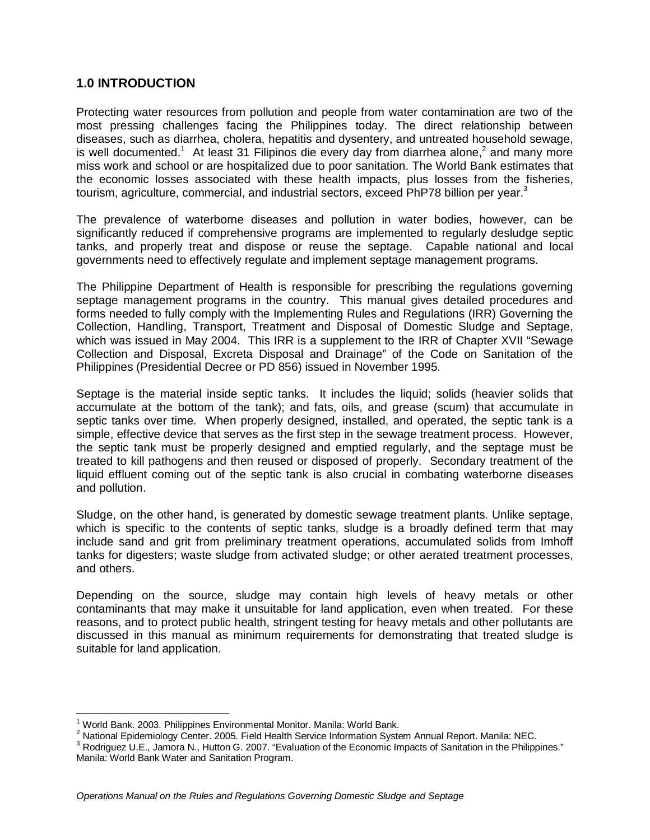## **1.0 INTRODUCTION**

Protecting water resources from pollution and people from water contamination are two of the most pressing challenges facing the Philippines today. The direct relationship between diseases, such as diarrhea, cholera, hepatitis and dysentery, and untreated household sewage, is well documented.<sup>1</sup> At least 31 Filipinos die every day from diarrhea alone,<sup>2</sup> and many more miss work and school or are hospitalized due to poor sanitation. The World Bank estimates that the economic losses associated with these health impacts, plus losses from the fisheries, tourism, agriculture, commercial, and industrial sectors, exceed PhP78 billion per year.<sup>3</sup>

The prevalence of waterborne diseases and pollution in water bodies, however, can be significantly reduced if comprehensive programs are implemented to regularly desludge septic tanks, and properly treat and dispose or reuse the septage. Capable national and local governments need to effectively regulate and implement septage management programs.

The Philippine Department of Health is responsible for prescribing the regulations governing septage management programs in the country. This manual gives detailed procedures and forms needed to fully comply with the Implementing Rules and Regulations (IRR) Governing the Collection, Handling, Transport, Treatment and Disposal of Domestic Sludge and Septage, which was issued in May 2004. This IRR is a supplement to the IRR of Chapter XVII "Sewage Collection and Disposal, Excreta Disposal and Drainage" of the Code on Sanitation of the Philippines (Presidential Decree or PD 856) issued in November 1995.

Septage is the material inside septic tanks. It includes the liquid; solids (heavier solids that accumulate at the bottom of the tank); and fats, oils, and grease (scum) that accumulate in septic tanks over time. When properly designed, installed, and operated, the septic tank is a simple, effective device that serves as the first step in the sewage treatment process. However, the septic tank must be properly designed and emptied regularly, and the septage must be treated to kill pathogens and then reused or disposed of properly. Secondary treatment of the liquid effluent coming out of the septic tank is also crucial in combating waterborne diseases and pollution.

Sludge, on the other hand, is generated by domestic sewage treatment plants. Unlike septage, which is specific to the contents of septic tanks, sludge is a broadly defined term that may include sand and grit from preliminary treatment operations, accumulated solids from Imhoff tanks for digesters; waste sludge from activated sludge; or other aerated treatment processes, and others.

Depending on the source, sludge may contain high levels of heavy metals or other contaminants that may make it unsuitable for land application, even when treated. For these reasons, and to protect public health, stringent testing for heavy metals and other pollutants are discussed in this manual as minimum requirements for demonstrating that treated sludge is suitable for land application.

 $\overline{\phantom{a}}$ 1 World Bank. 2003. Philippines Environmental Monitor. Manila: World Bank.

<sup>&</sup>lt;sup>2</sup> National Epidemiology Center. 2005. Field Health Service Information System Annual Report. Manila: NEC.

<sup>&</sup>lt;sup>3</sup> Rodriguez U.E., Jamora N., Hutton G. 2007. "Evaluation of the Economic Impacts of Sanitation in the Philippines." Manila: World Bank Water and Sanitation Program.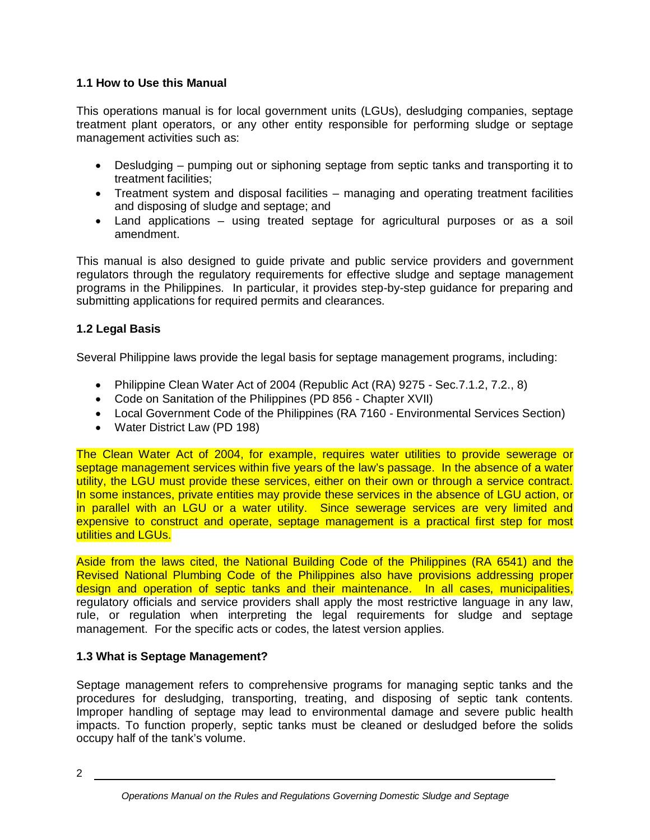# **1.1 How to Use this Manual**

This operations manual is for local government units (LGUs), desludging companies, septage treatment plant operators, or any other entity responsible for performing sludge or septage management activities such as:

- Desludging pumping out or siphoning septage from septic tanks and transporting it to treatment facilities;
- Treatment system and disposal facilities managing and operating treatment facilities and disposing of sludge and septage; and
- Land applications using treated septage for agricultural purposes or as a soil amendment.

This manual is also designed to guide private and public service providers and government regulators through the regulatory requirements for effective sludge and septage management programs in the Philippines. In particular, it provides step-by-step guidance for preparing and submitting applications for required permits and clearances.

# **1.2 Legal Basis**

Several Philippine laws provide the legal basis for septage management programs, including:

- Philippine Clean Water Act of 2004 (Republic Act (RA) 9275 Sec. 7.1.2, 7.2., 8)
- Code on Sanitation of the Philippines (PD 856 Chapter XVII)
- Local Government Code of the Philippines (RA 7160 Environmental Services Section)
- Water District Law (PD 198)

The Clean Water Act of 2004, for example, requires water utilities to provide sewerage or septage management services within five years of the law's passage. In the absence of a water utility, the LGU must provide these services, either on their own or through a service contract. In some instances, private entities may provide these services in the absence of LGU action, or in parallel with an LGU or a water utility. Since sewerage services are very limited and expensive to construct and operate, septage management is a practical first step for most utilities and LGUs.

Aside from the laws cited, the National Building Code of the Philippines (RA 6541) and the Revised National Plumbing Code of the Philippines also have provisions addressing proper design and operation of septic tanks and their maintenance. In all cases, municipalities, regulatory officials and service providers shall apply the most restrictive language in any law, rule, or regulation when interpreting the legal requirements for sludge and septage management. For the specific acts or codes, the latest version applies.

# **1.3 What is Septage Management?**

Septage management refers to comprehensive programs for managing septic tanks and the procedures for desludging, transporting, treating, and disposing of septic tank contents. Improper handling of septage may lead to environmental damage and severe public health impacts. To function properly, septic tanks must be cleaned or desludged before the solids occupy half of the tank's volume.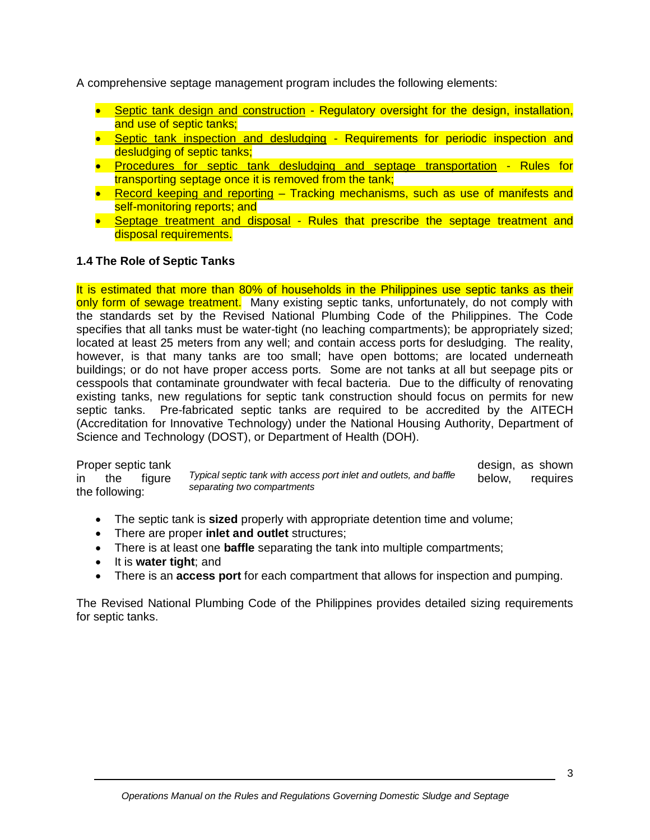A comprehensive septage management program includes the following elements:

- Septic tank design and construction Regulatory oversight for the design, installation, and use of septic tanks;
- Septic tank inspection and desludging Requirements for periodic inspection and desludging of septic tanks;
- Procedures for septic tank desludging and septage transportation Rules for transporting septage once it is removed from the tank;
- Record keeping and reporting Tracking mechanisms, such as use of manifests and self-monitoring reports; and
- Septage treatment and disposal Rules that prescribe the septage treatment and disposal requirements.

## **1.4 The Role of Septic Tanks**

It is estimated that more than 80% of households in the Philippines use septic tanks as their only form of sewage treatment. Many existing septic tanks, unfortunately, do not comply with the standards set by the Revised National Plumbing Code of the Philippines. The Code specifies that all tanks must be water-tight (no leaching compartments); be appropriately sized; located at least 25 meters from any well; and contain access ports for desludging. The reality, however, is that many tanks are too small; have open bottoms; are located underneath buildings; or do not have proper access ports. Some are not tanks at all but seepage pits or cesspools that contaminate groundwater with fecal bacteria. Due to the difficulty of renovating existing tanks, new regulations for septic tank construction should focus on permits for new septic tanks. Pre-fabricated septic tanks are required to be accredited by the AITECH (Accreditation for Innovative Technology) under the National Housing Authority, Department of Science and Technology (DOST), or Department of Health (DOH).

in the figure *Typical septic tank with access port inlet and outlets, and baffle* below, requires *separating two compartments*  Proper septic tank expression as shown<br>in the figure *Typical septic tank with access port inlet and outlets, and baffle* below, requires the following:

- The septic tank is **sized** properly with appropriate detention time and volume;
- There are proper **inlet and outlet** structures;
- There is at least one **baffle** separating the tank into multiple compartments;
- It is **water tight**; and
- There is an **access port** for each compartment that allows for inspection and pumping.

The Revised National Plumbing Code of the Philippines provides detailed sizing requirements for septic tanks.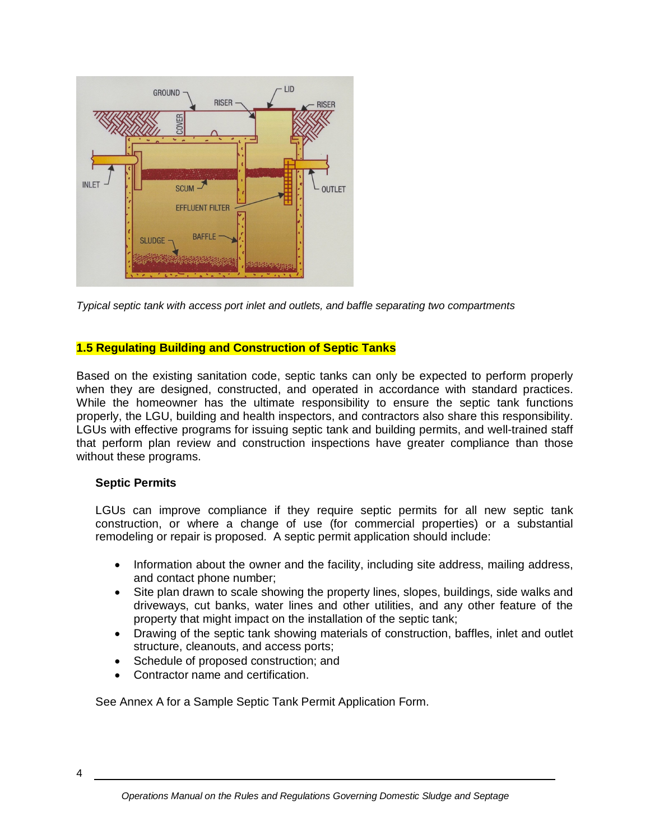

*Typical septic tank with access port inlet and outlets, and baffle separating two compartments*

#### **1.5 Regulating Building and Construction of Septic Tanks**

Based on the existing sanitation code, septic tanks can only be expected to perform properly when they are designed, constructed, and operated in accordance with standard practices. While the homeowner has the ultimate responsibility to ensure the septic tank functions properly, the LGU, building and health inspectors, and contractors also share this responsibility. LGUs with effective programs for issuing septic tank and building permits, and well-trained staff that perform plan review and construction inspections have greater compliance than those without these programs.

#### **Septic Permits**

LGUs can improve compliance if they require septic permits for all new septic tank construction, or where a change of use (for commercial properties) or a substantial remodeling or repair is proposed. A septic permit application should include:

- Information about the owner and the facility, including site address, mailing address, and contact phone number;
- Site plan drawn to scale showing the property lines, slopes, buildings, side walks and driveways, cut banks, water lines and other utilities, and any other feature of the property that might impact on the installation of the septic tank;
- Drawing of the septic tank showing materials of construction, baffles, inlet and outlet structure, cleanouts, and access ports;
- Schedule of proposed construction; and
- Contractor name and certification.

See Annex A for a Sample Septic Tank Permit Application Form.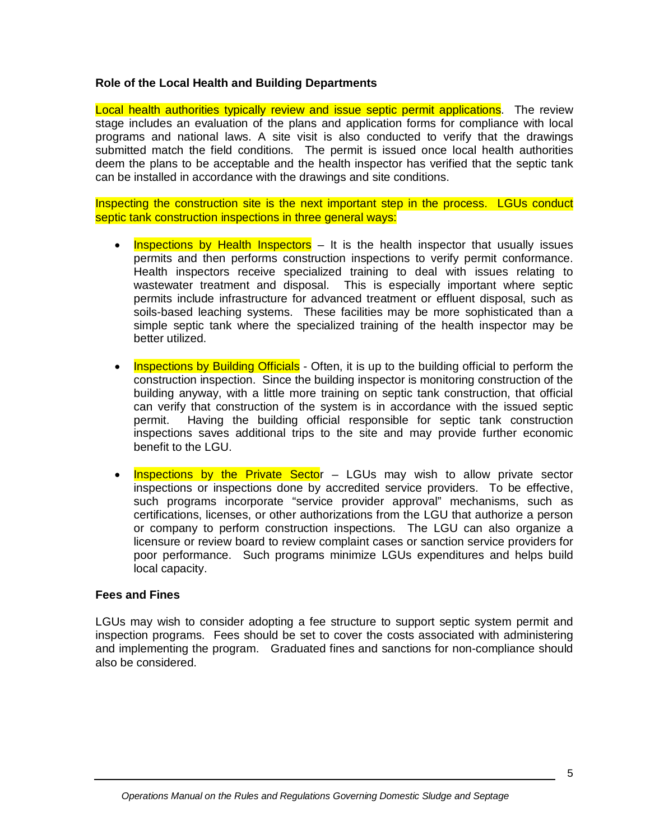#### **Role of the Local Health and Building Departments**

Local health authorities typically review and issue septic permit applications. The review stage includes an evaluation of the plans and application forms for compliance with local programs and national laws. A site visit is also conducted to verify that the drawings submitted match the field conditions. The permit is issued once local health authorities deem the plans to be acceptable and the health inspector has verified that the septic tank can be installed in accordance with the drawings and site conditions.

Inspecting the construction site is the next important step in the process. LGUs conduct septic tank construction inspections in three general ways:

- Inspections by Health Inspectors It is the health inspector that usually issues permits and then performs construction inspections to verify permit conformance. Health inspectors receive specialized training to deal with issues relating to wastewater treatment and disposal. This is especially important where septic permits include infrastructure for advanced treatment or effluent disposal, such as soils-based leaching systems. These facilities may be more sophisticated than a simple septic tank where the specialized training of the health inspector may be better utilized.
- Inspections by Building Officials Often, it is up to the building official to perform the construction inspection. Since the building inspector is monitoring construction of the building anyway, with a little more training on septic tank construction, that official can verify that construction of the system is in accordance with the issued septic permit. Having the building official responsible for septic tank construction inspections saves additional trips to the site and may provide further economic benefit to the LGU.
- Inspections by the Private Sector LGUs may wish to allow private sector inspections or inspections done by accredited service providers. To be effective, such programs incorporate "service provider approval" mechanisms, such as certifications, licenses, or other authorizations from the LGU that authorize a person or company to perform construction inspections. The LGU can also organize a licensure or review board to review complaint cases or sanction service providers for poor performance. Such programs minimize LGUs expenditures and helps build local capacity.

## **Fees and Fines**

LGUs may wish to consider adopting a fee structure to support septic system permit and inspection programs. Fees should be set to cover the costs associated with administering and implementing the program. Graduated fines and sanctions for non-compliance should also be considered.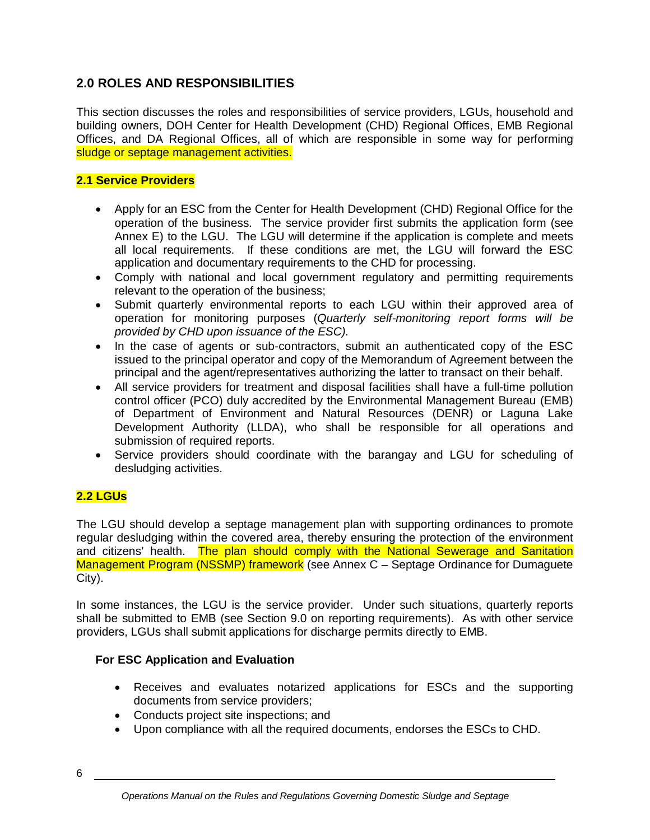# **2.0 ROLES AND RESPONSIBILITIES**

This section discusses the roles and responsibilities of service providers, LGUs, household and building owners, DOH Center for Health Development (CHD) Regional Offices, EMB Regional Offices, and DA Regional Offices, all of which are responsible in some way for performing sludge or septage management activities.

## **2.1 Service Providers**

- Apply for an ESC from the Center for Health Development (CHD) Regional Office for the operation of the business. The service provider first submits the application form (see Annex E) to the LGU. The LGU will determine if the application is complete and meets all local requirements. If these conditions are met, the LGU will forward the ESC application and documentary requirements to the CHD for processing.
- Comply with national and local government regulatory and permitting requirements relevant to the operation of the business;
- Submit quarterly environmental reports to each LGU within their approved area of operation for monitoring purposes (*Quarterly self-monitoring report forms will be provided by CHD upon issuance of the ESC).*
- In the case of agents or sub-contractors, submit an authenticated copy of the ESC issued to the principal operator and copy of the Memorandum of Agreement between the principal and the agent/representatives authorizing the latter to transact on their behalf.
- All service providers for treatment and disposal facilities shall have a full-time pollution control officer (PCO) duly accredited by the Environmental Management Bureau (EMB) of Department of Environment and Natural Resources (DENR) or Laguna Lake Development Authority (LLDA), who shall be responsible for all operations and submission of required reports.
- Service providers should coordinate with the barangay and LGU for scheduling of desludging activities.

# **2.2 LGUs**

The LGU should develop a septage management plan with supporting ordinances to promote regular desludging within the covered area, thereby ensuring the protection of the environment and citizens' health. The plan should comply with the National Sewerage and Sanitation Management Program (NSSMP) framework (see Annex C - Septage Ordinance for Dumaguete City).

In some instances, the LGU is the service provider. Under such situations, quarterly reports shall be submitted to EMB (see Section 9.0 on reporting requirements). As with other service providers, LGUs shall submit applications for discharge permits directly to EMB.

## **For ESC Application and Evaluation**

- Receives and evaluates notarized applications for ESCs and the supporting documents from service providers;
- Conducts project site inspections; and
- Upon compliance with all the required documents, endorses the ESCs to CHD.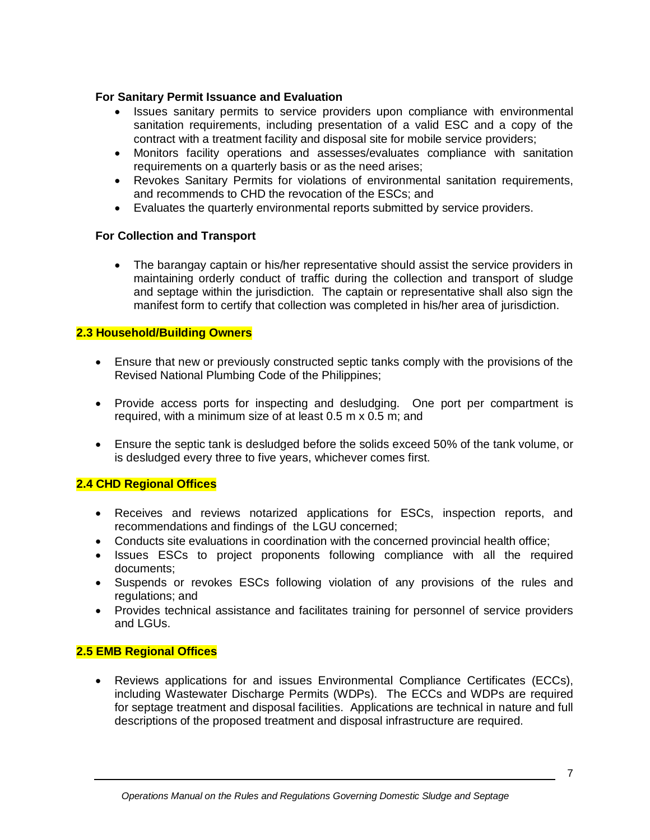## **For Sanitary Permit Issuance and Evaluation**

- Issues sanitary permits to service providers upon compliance with environmental sanitation requirements, including presentation of a valid ESC and a copy of the contract with a treatment facility and disposal site for mobile service providers;
- Monitors facility operations and assesses/evaluates compliance with sanitation requirements on a quarterly basis or as the need arises;
- Revokes Sanitary Permits for violations of environmental sanitation requirements, and recommends to CHD the revocation of the ESCs; and
- Evaluates the quarterly environmental reports submitted by service providers.

#### **For Collection and Transport**

• The barangay captain or his/her representative should assist the service providers in maintaining orderly conduct of traffic during the collection and transport of sludge and septage within the jurisdiction. The captain or representative shall also sign the manifest form to certify that collection was completed in his/her area of jurisdiction.

#### **2.3 Household/Building Owners**

- Ensure that new or previously constructed septic tanks comply with the provisions of the Revised National Plumbing Code of the Philippines;
- Provide access ports for inspecting and desludging. One port per compartment is required, with a minimum size of at least 0.5 m x 0.5 m; and
- Ensure the septic tank is desludged before the solids exceed 50% of the tank volume, or is desludged every three to five years, whichever comes first.

## **2.4 CHD Regional Offices**

- Receives and reviews notarized applications for ESCs, inspection reports, and recommendations and findings of the LGU concerned;
- Conducts site evaluations in coordination with the concerned provincial health office;
- Issues ESCs to project proponents following compliance with all the required documents;
- Suspends or revokes ESCs following violation of any provisions of the rules and regulations; and
- Provides technical assistance and facilitates training for personnel of service providers and LGUs.

## **2.5 EMB Regional Offices**

 Reviews applications for and issues Environmental Compliance Certificates (ECCs), including Wastewater Discharge Permits (WDPs). The ECCs and WDPs are required for septage treatment and disposal facilities. Applications are technical in nature and full descriptions of the proposed treatment and disposal infrastructure are required.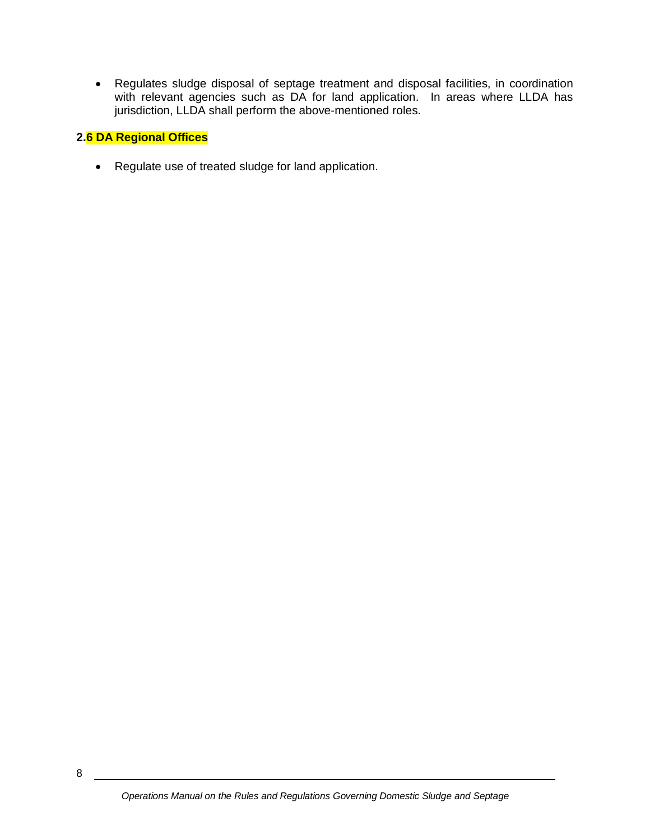Regulates sludge disposal of septage treatment and disposal facilities, in coordination with relevant agencies such as DA for land application. In areas where LLDA has jurisdiction, LLDA shall perform the above-mentioned roles.

# **2.6 DA Regional Offices**

• Regulate use of treated sludge for land application.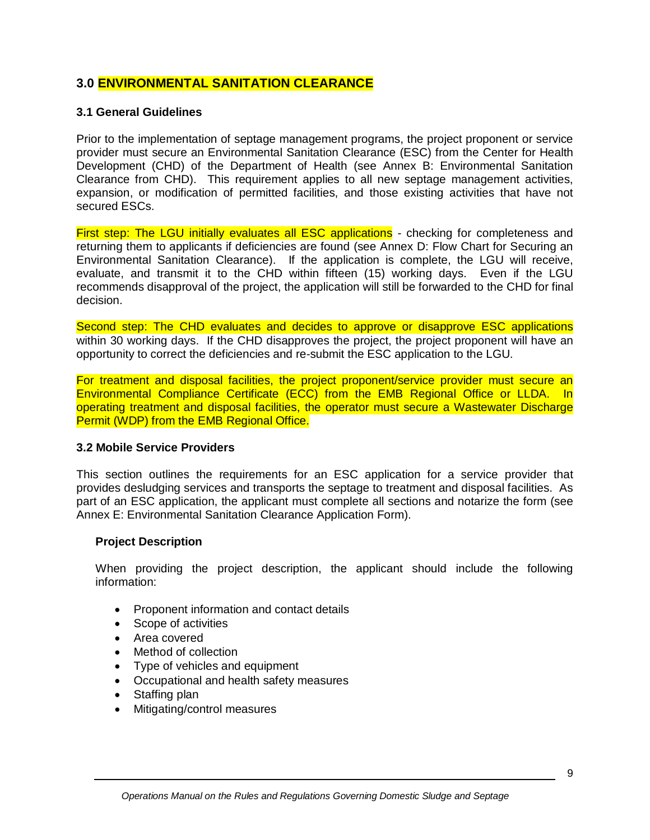# **3.0 ENVIRONMENTAL SANITATION CLEARANCE**

#### **3.1 General Guidelines**

Prior to the implementation of septage management programs, the project proponent or service provider must secure an Environmental Sanitation Clearance (ESC) from the Center for Health Development (CHD) of the Department of Health (see Annex B: Environmental Sanitation Clearance from CHD). This requirement applies to all new septage management activities, expansion, or modification of permitted facilities, and those existing activities that have not secured ESCs.

First step: The LGU initially evaluates all ESC applications - checking for completeness and returning them to applicants if deficiencies are found (see Annex D: Flow Chart for Securing an Environmental Sanitation Clearance). If the application is complete, the LGU will receive, evaluate, and transmit it to the CHD within fifteen (15) working days. Even if the LGU recommends disapproval of the project, the application will still be forwarded to the CHD for final decision.

Second step: The CHD evaluates and decides to approve or disapprove ESC applications within 30 working days. If the CHD disapproves the project, the project proponent will have an opportunity to correct the deficiencies and re-submit the ESC application to the LGU.

For treatment and disposal facilities, the project proponent/service provider must secure an Environmental Compliance Certificate (ECC) from the EMB Regional Office or LLDA. In operating treatment and disposal facilities, the operator must secure a Wastewater Discharge Permit (WDP) from the EMB Regional Office.

#### **3.2 Mobile Service Providers**

This section outlines the requirements for an ESC application for a service provider that provides desludging services and transports the septage to treatment and disposal facilities. As part of an ESC application, the applicant must complete all sections and notarize the form (see Annex E: Environmental Sanitation Clearance Application Form).

#### **Project Description**

When providing the project description, the applicant should include the following information:

- Proponent information and contact details
- Scope of activities
- Area covered
- Method of collection
- Type of vehicles and equipment
- Occupational and health safety measures
- Staffing plan
- Mitigating/control measures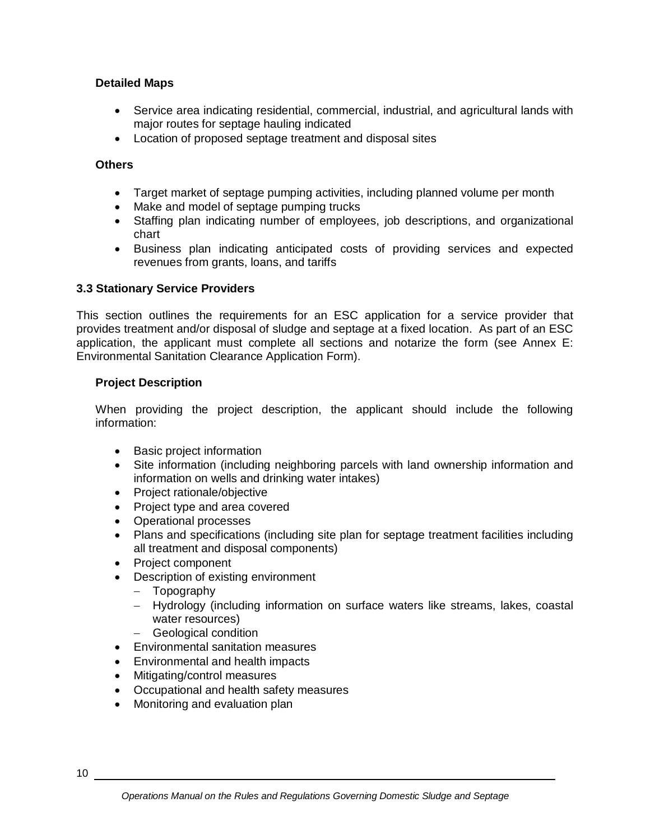## **Detailed Maps**

- Service area indicating residential, commercial, industrial, and agricultural lands with major routes for septage hauling indicated
- Location of proposed septage treatment and disposal sites

## **Others**

- Target market of septage pumping activities, including planned volume per month
- Make and model of septage pumping trucks
- Staffing plan indicating number of employees, job descriptions, and organizational chart
- Business plan indicating anticipated costs of providing services and expected revenues from grants, loans, and tariffs

## **3.3 Stationary Service Providers**

This section outlines the requirements for an ESC application for a service provider that provides treatment and/or disposal of sludge and septage at a fixed location. As part of an ESC application, the applicant must complete all sections and notarize the form (see Annex E: Environmental Sanitation Clearance Application Form).

## **Project Description**

When providing the project description, the applicant should include the following information:

- Basic project information
- Site information (including neighboring parcels with land ownership information and information on wells and drinking water intakes)
- Project rationale/objective
- Project type and area covered
- Operational processes
- Plans and specifications (including site plan for septage treatment facilities including all treatment and disposal components)
- Project component
- Description of existing environment
	- Topography
	- Hydrology (including information on surface waters like streams, lakes, coastal water resources)
	- Geological condition
- Environmental sanitation measures
- Environmental and health impacts
- Mitigating/control measures
- Occupational and health safety measures
- Monitoring and evaluation plan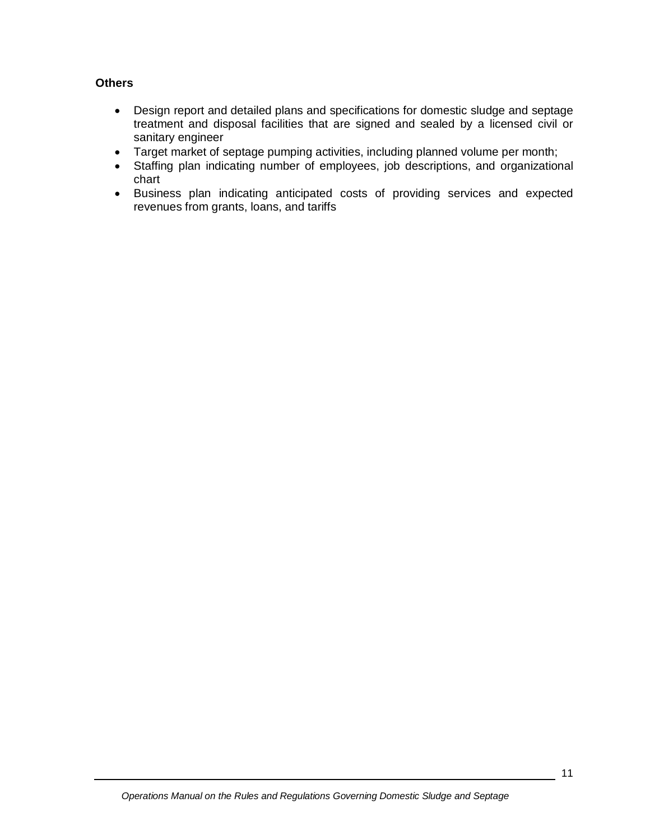## **Others**

- Design report and detailed plans and specifications for domestic sludge and septage treatment and disposal facilities that are signed and sealed by a licensed civil or sanitary engineer
- Target market of septage pumping activities, including planned volume per month;
- Staffing plan indicating number of employees, job descriptions, and organizational chart
- Business plan indicating anticipated costs of providing services and expected revenues from grants, loans, and tariffs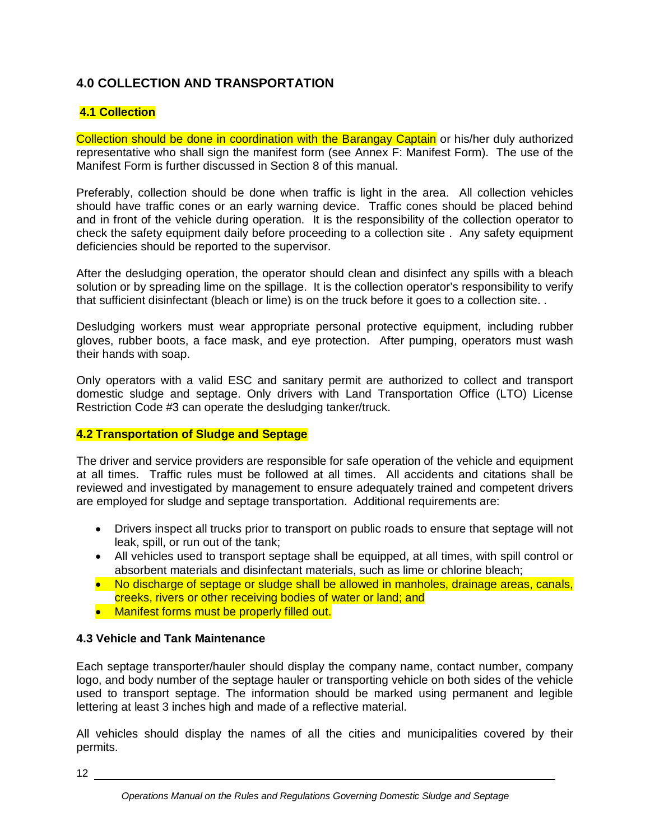# **4.0 COLLECTION AND TRANSPORTATION**

## **4.1 Collection**

Collection should be done in coordination with the Barangay Captain or his/her duly authorized representative who shall sign the manifest form (see Annex F: Manifest Form). The use of the Manifest Form is further discussed in Section 8 of this manual.

Preferably, collection should be done when traffic is light in the area. All collection vehicles should have traffic cones or an early warning device. Traffic cones should be placed behind and in front of the vehicle during operation. It is the responsibility of the collection operator to check the safety equipment daily before proceeding to a collection site . Any safety equipment deficiencies should be reported to the supervisor.

After the desludging operation, the operator should clean and disinfect any spills with a bleach solution or by spreading lime on the spillage. It is the collection operator's responsibility to verify that sufficient disinfectant (bleach or lime) is on the truck before it goes to a collection site. .

Desludging workers must wear appropriate personal protective equipment, including rubber gloves, rubber boots, a face mask, and eye protection. After pumping, operators must wash their hands with soap.

Only operators with a valid ESC and sanitary permit are authorized to collect and transport domestic sludge and septage. Only drivers with Land Transportation Office (LTO) License Restriction Code #3 can operate the desludging tanker/truck.

## **4.2 Transportation of Sludge and Septage**

The driver and service providers are responsible for safe operation of the vehicle and equipment at all times. Traffic rules must be followed at all times. All accidents and citations shall be reviewed and investigated by management to ensure adequately trained and competent drivers are employed for sludge and septage transportation. Additional requirements are:

- Drivers inspect all trucks prior to transport on public roads to ensure that septage will not leak, spill, or run out of the tank;
- All vehicles used to transport septage shall be equipped, at all times, with spill control or absorbent materials and disinfectant materials, such as lime or chlorine bleach;
- No discharge of septage or sludge shall be allowed in manholes, drainage areas, canals, creeks, rivers or other receiving bodies of water or land; and
- Manifest forms must be properly filled out.

# **4.3 Vehicle and Tank Maintenance**

Each septage transporter/hauler should display the company name, contact number, company logo, and body number of the septage hauler or transporting vehicle on both sides of the vehicle used to transport septage. The information should be marked using permanent and legible lettering at least 3 inches high and made of a reflective material.

All vehicles should display the names of all the cities and municipalities covered by their permits.

12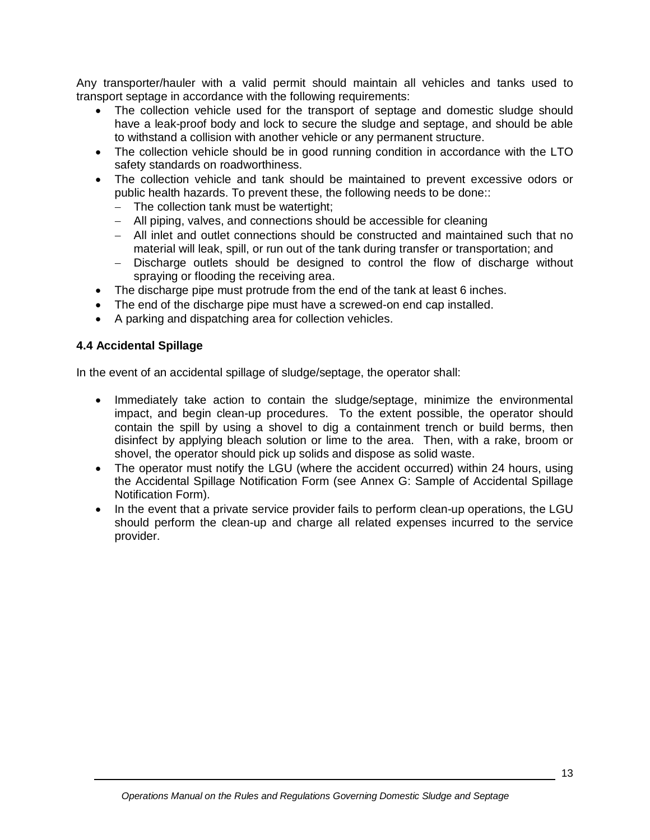Any transporter/hauler with a valid permit should maintain all vehicles and tanks used to transport septage in accordance with the following requirements:

- The collection vehicle used for the transport of septage and domestic sludge should have a leak-proof body and lock to secure the sludge and septage, and should be able to withstand a collision with another vehicle or any permanent structure.
- The collection vehicle should be in good running condition in accordance with the LTO safety standards on roadworthiness.
- The collection vehicle and tank should be maintained to prevent excessive odors or public health hazards. To prevent these, the following needs to be done::
	- The collection tank must be watertight;
	- All piping, valves, and connections should be accessible for cleaning
	- All inlet and outlet connections should be constructed and maintained such that no material will leak, spill, or run out of the tank during transfer or transportation; and
	- Discharge outlets should be designed to control the flow of discharge without spraying or flooding the receiving area.
- The discharge pipe must protrude from the end of the tank at least 6 inches.
- The end of the discharge pipe must have a screwed-on end cap installed.
- A parking and dispatching area for collection vehicles.

## **4.4 Accidental Spillage**

In the event of an accidental spillage of sludge/septage, the operator shall:

- Immediately take action to contain the sludge/septage, minimize the environmental impact, and begin clean-up procedures. To the extent possible, the operator should contain the spill by using a shovel to dig a containment trench or build berms, then disinfect by applying bleach solution or lime to the area. Then, with a rake, broom or shovel, the operator should pick up solids and dispose as solid waste.
- The operator must notify the LGU (where the accident occurred) within 24 hours, using the Accidental Spillage Notification Form (see Annex G: Sample of Accidental Spillage Notification Form).
- In the event that a private service provider fails to perform clean-up operations, the LGU should perform the clean-up and charge all related expenses incurred to the service provider.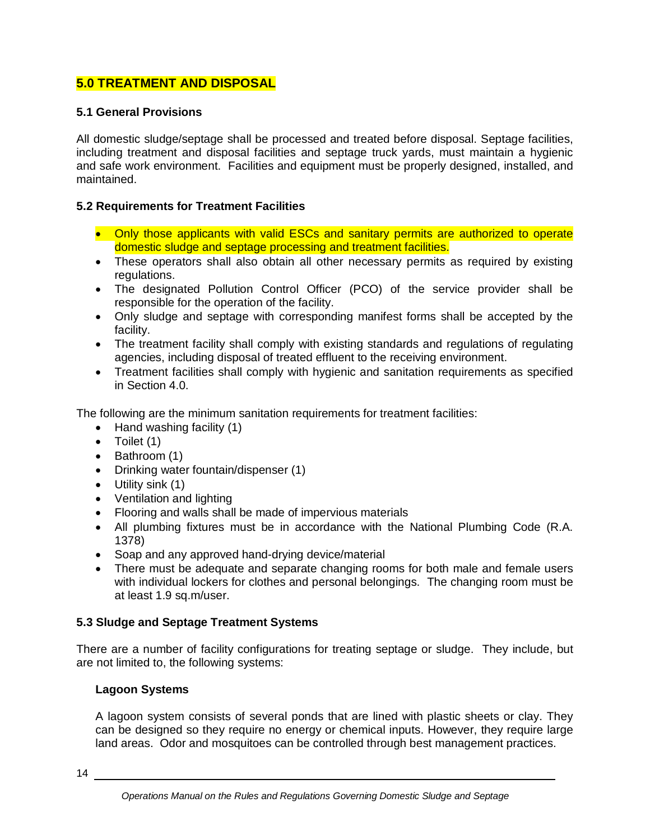# **5.0 TREATMENT AND DISPOSAL**

## **5.1 General Provisions**

All domestic sludge/septage shall be processed and treated before disposal. Septage facilities, including treatment and disposal facilities and septage truck yards, must maintain a hygienic and safe work environment. Facilities and equipment must be properly designed, installed, and maintained.

## **5.2 Requirements for Treatment Facilities**

- Only those applicants with valid ESCs and sanitary permits are authorized to operate domestic sludge and septage processing and treatment facilities.
- These operators shall also obtain all other necessary permits as required by existing regulations.
- The designated Pollution Control Officer (PCO) of the service provider shall be responsible for the operation of the facility.
- Only sludge and septage with corresponding manifest forms shall be accepted by the facility.
- The treatment facility shall comply with existing standards and regulations of regulating agencies, including disposal of treated effluent to the receiving environment.
- Treatment facilities shall comply with hygienic and sanitation requirements as specified in Section 4.0.

The following are the minimum sanitation requirements for treatment facilities:

- Hand washing facility (1)
- $\bullet$  Toilet (1)
- $\bullet$  Bathroom (1)
- Drinking water fountain/dispenser (1)
- Utility sink (1)
- Ventilation and lighting
- Flooring and walls shall be made of impervious materials
- All plumbing fixtures must be in accordance with the National Plumbing Code (R.A. 1378)
- Soap and any approved hand-drying device/material
- There must be adequate and separate changing rooms for both male and female users with individual lockers for clothes and personal belongings. The changing room must be at least 1.9 sq.m/user.

## **5.3 Sludge and Septage Treatment Systems**

There are a number of facility configurations for treating septage or sludge. They include, but are not limited to, the following systems:

## **Lagoon Systems**

A lagoon system consists of several ponds that are lined with plastic sheets or clay. They can be designed so they require no energy or chemical inputs. However, they require large land areas. Odor and mosquitoes can be controlled through best management practices.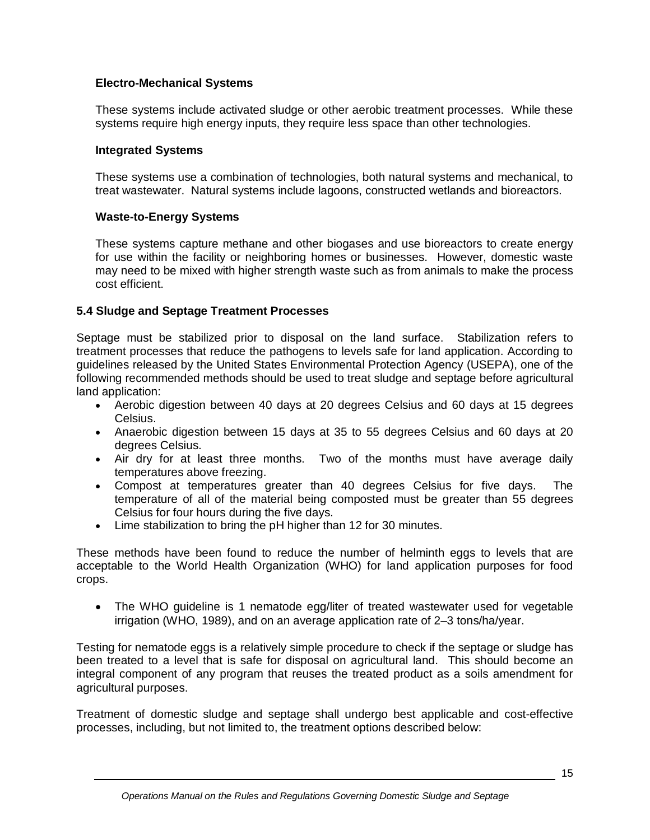## **Electro-Mechanical Systems**

These systems include activated sludge or other aerobic treatment processes. While these systems require high energy inputs, they require less space than other technologies.

#### **Integrated Systems**

These systems use a combination of technologies, both natural systems and mechanical, to treat wastewater. Natural systems include lagoons, constructed wetlands and bioreactors.

## **Waste-to-Energy Systems**

These systems capture methane and other biogases and use bioreactors to create energy for use within the facility or neighboring homes or businesses. However, domestic waste may need to be mixed with higher strength waste such as from animals to make the process cost efficient.

## **5.4 Sludge and Septage Treatment Processes**

Septage must be stabilized prior to disposal on the land surface. Stabilization refers to treatment processes that reduce the pathogens to levels safe for land application. According to guidelines released by the United States Environmental Protection Agency (USEPA), one of the following recommended methods should be used to treat sludge and septage before agricultural land application:

- Aerobic digestion between 40 days at 20 degrees Celsius and 60 days at 15 degrees Celsius.
- Anaerobic digestion between 15 days at 35 to 55 degrees Celsius and 60 days at 20 degrees Celsius.
- Air dry for at least three months. Two of the months must have average daily temperatures above freezing.
- Compost at temperatures greater than 40 degrees Celsius for five days. The temperature of all of the material being composted must be greater than 55 degrees Celsius for four hours during the five days.
- Lime stabilization to bring the pH higher than 12 for 30 minutes.

These methods have been found to reduce the number of helminth eggs to levels that are acceptable to the World Health Organization (WHO) for land application purposes for food crops.

• The WHO guideline is 1 nematode egg/liter of treated wastewater used for vegetable irrigation (WHO, 1989), and on an average application rate of 2–3 tons/ha/year.

Testing for nematode eggs is a relatively simple procedure to check if the septage or sludge has been treated to a level that is safe for disposal on agricultural land. This should become an integral component of any program that reuses the treated product as a soils amendment for agricultural purposes.

Treatment of domestic sludge and septage shall undergo best applicable and cost-effective processes, including, but not limited to, the treatment options described below: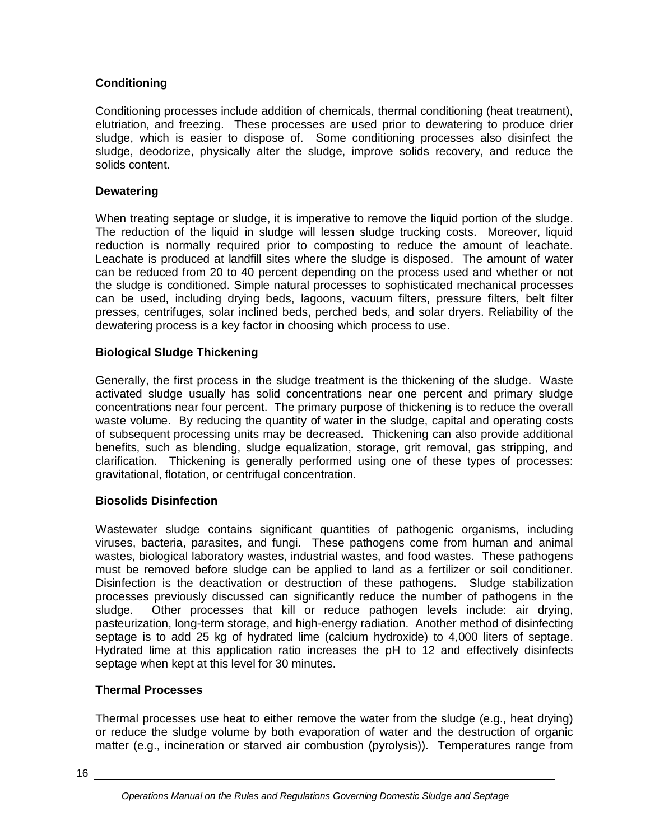# **Conditioning**

Conditioning processes include addition of chemicals, thermal conditioning (heat treatment), elutriation, and freezing. These processes are used prior to dewatering to produce drier sludge, which is easier to dispose of. Some conditioning processes also disinfect the sludge, deodorize, physically alter the sludge, improve solids recovery, and reduce the solids content.

## **Dewatering**

When treating septage or sludge, it is imperative to remove the liquid portion of the sludge. The reduction of the liquid in sludge will lessen sludge trucking costs. Moreover, liquid reduction is normally required prior to composting to reduce the amount of leachate. Leachate is produced at landfill sites where the sludge is disposed. The amount of water can be reduced from 20 to 40 percent depending on the process used and whether or not the sludge is conditioned. Simple natural processes to sophisticated mechanical processes can be used, including drying beds, lagoons, vacuum filters, pressure filters, belt filter presses, centrifuges, solar inclined beds, perched beds, and solar dryers. Reliability of the dewatering process is a key factor in choosing which process to use.

## **Biological Sludge Thickening**

Generally, the first process in the sludge treatment is the thickening of the sludge. Waste activated sludge usually has solid concentrations near one percent and primary sludge concentrations near four percent. The primary purpose of thickening is to reduce the overall waste volume. By reducing the quantity of water in the sludge, capital and operating costs of subsequent processing units may be decreased. Thickening can also provide additional benefits, such as blending, sludge equalization, storage, grit removal, gas stripping, and clarification. Thickening is generally performed using one of these types of processes: gravitational, flotation, or centrifugal concentration.

# **Biosolids Disinfection**

Wastewater sludge contains significant quantities of pathogenic organisms, including viruses, bacteria, parasites, and fungi. These pathogens come from human and animal wastes, biological laboratory wastes, industrial wastes, and food wastes. These pathogens must be removed before sludge can be applied to land as a fertilizer or soil conditioner. Disinfection is the deactivation or destruction of these pathogens. Sludge stabilization processes previously discussed can significantly reduce the number of pathogens in the sludge. Other processes that kill or reduce pathogen levels include: air drying, pasteurization, long-term storage, and high-energy radiation. Another method of disinfecting septage is to add 25 kg of hydrated lime (calcium hydroxide) to 4,000 liters of septage. Hydrated lime at this application ratio increases the pH to 12 and effectively disinfects septage when kept at this level for 30 minutes.

# **Thermal Processes**

Thermal processes use heat to either remove the water from the sludge (e.g., heat drying) or reduce the sludge volume by both evaporation of water and the destruction of organic matter (e.g., incineration or starved air combustion (pyrolysis)). Temperatures range from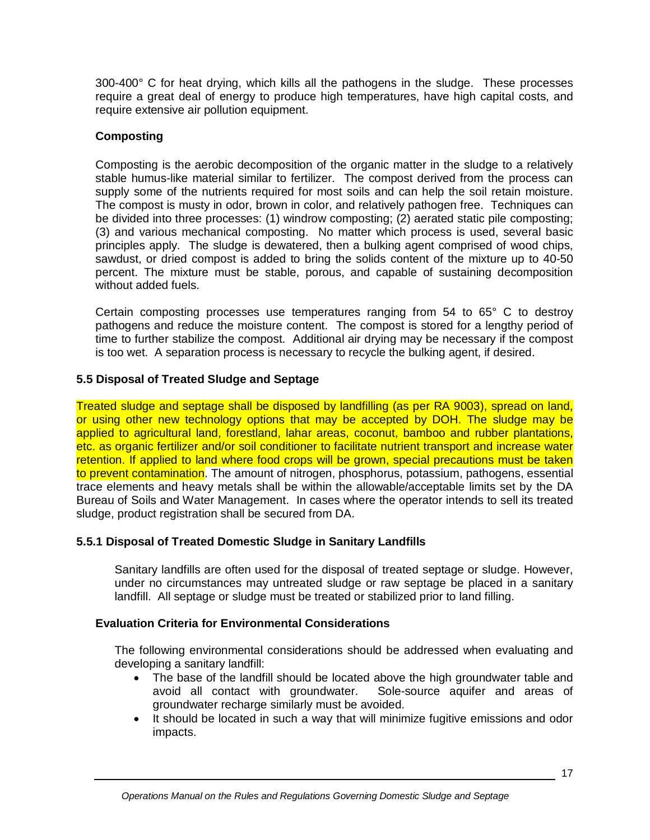300-400° C for heat drying, which kills all the pathogens in the sludge. These processes require a great deal of energy to produce high temperatures, have high capital costs, and require extensive air pollution equipment.

# **Composting**

Composting is the aerobic decomposition of the organic matter in the sludge to a relatively stable humus-like material similar to fertilizer. The compost derived from the process can supply some of the nutrients required for most soils and can help the soil retain moisture. The compost is musty in odor, brown in color, and relatively pathogen free. Techniques can be divided into three processes: (1) windrow composting; (2) aerated static pile composting; (3) and various mechanical composting. No matter which process is used, several basic principles apply. The sludge is dewatered, then a bulking agent comprised of wood chips, sawdust, or dried compost is added to bring the solids content of the mixture up to 40-50 percent. The mixture must be stable, porous, and capable of sustaining decomposition without added fuels.

Certain composting processes use temperatures ranging from 54 to 65° C to destroy pathogens and reduce the moisture content. The compost is stored for a lengthy period of time to further stabilize the compost. Additional air drying may be necessary if the compost is too wet. A separation process is necessary to recycle the bulking agent, if desired.

# **5.5 Disposal of Treated Sludge and Septage**

Treated sludge and septage shall be disposed by landfilling (as per RA 9003), spread on land, or using other new technology options that may be accepted by DOH. The sludge may be applied to agricultural land, forestland, lahar areas, coconut, bamboo and rubber plantations, etc. as organic fertilizer and/or soil conditioner to facilitate nutrient transport and increase water retention. If applied to land where food crops will be grown, special precautions must be taken to prevent contamination. The amount of nitrogen, phosphorus, potassium, pathogens, essential trace elements and heavy metals shall be within the allowable/acceptable limits set by the DA Bureau of Soils and Water Management. In cases where the operator intends to sell its treated sludge, product registration shall be secured from DA.

# **5.5.1 Disposal of Treated Domestic Sludge in Sanitary Landfills**

Sanitary landfills are often used for the disposal of treated septage or sludge. However, under no circumstances may untreated sludge or raw septage be placed in a sanitary landfill. All septage or sludge must be treated or stabilized prior to land filling.

# **Evaluation Criteria for Environmental Considerations**

The following environmental considerations should be addressed when evaluating and developing a sanitary landfill:

- The base of the landfill should be located above the high groundwater table and avoid all contact with groundwater. Sole-source aquifer and areas of groundwater recharge similarly must be avoided.
- It should be located in such a way that will minimize fugitive emissions and odor impacts.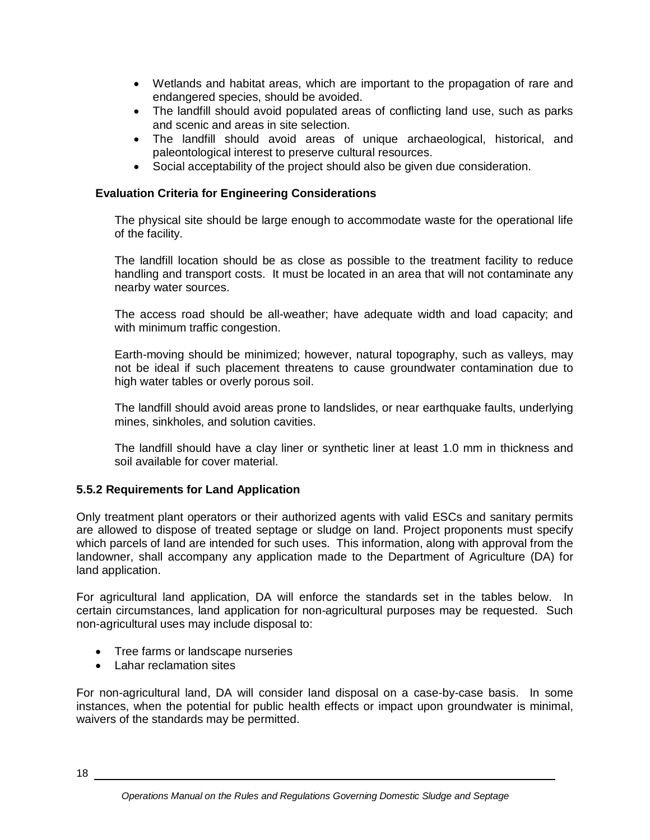- Wetlands and habitat areas, which are important to the propagation of rare and endangered species, should be avoided.
- The landfill should avoid populated areas of conflicting land use, such as parks and scenic and areas in site selection.
- The landfill should avoid areas of unique archaeological, historical, and paleontological interest to preserve cultural resources.
- Social acceptability of the project should also be given due consideration.

## **Evaluation Criteria for Engineering Considerations**

The physical site should be large enough to accommodate waste for the operational life of the facility.

The landfill location should be as close as possible to the treatment facility to reduce handling and transport costs. It must be located in an area that will not contaminate any nearby water sources.

The access road should be all-weather; have adequate width and load capacity; and with minimum traffic congestion.

Earth-moving should be minimized; however, natural topography, such as valleys, may not be ideal if such placement threatens to cause groundwater contamination due to high water tables or overly porous soil.

The landfill should avoid areas prone to landslides, or near earthquake faults, underlying mines, sinkholes, and solution cavities.

The landfill should have a clay liner or synthetic liner at least 1.0 mm in thickness and soil available for cover material.

## **5.5.2 Requirements for Land Application**

Only treatment plant operators or their authorized agents with valid ESCs and sanitary permits are allowed to dispose of treated septage or sludge on land. Project proponents must specify which parcels of land are intended for such uses. This information, along with approval from the landowner, shall accompany any application made to the Department of Agriculture (DA) for land application.

For agricultural land application, DA will enforce the standards set in the tables below. In certain circumstances, land application for non-agricultural purposes may be requested. Such non-agricultural uses may include disposal to:

- Tree farms or landscape nurseries
- Lahar reclamation sites

For non-agricultural land, DA will consider land disposal on a case-by-case basis. In some instances, when the potential for public health effects or impact upon groundwater is minimal, waivers of the standards may be permitted.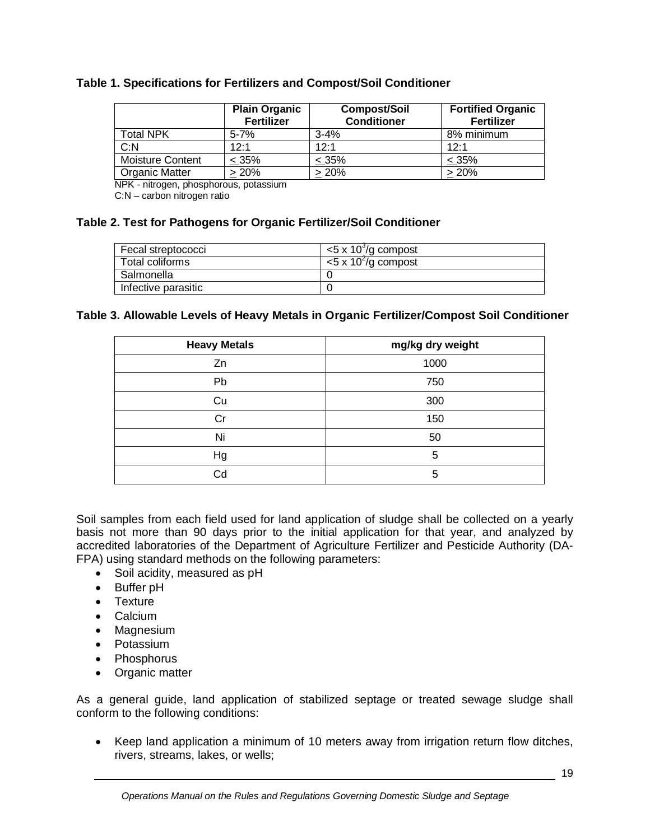## **Table 1. Specifications for Fertilizers and Compost/Soil Conditioner**

|                         | <b>Plain Organic</b><br><b>Fertilizer</b> | <b>Compost/Soil</b><br><b>Conditioner</b> | <b>Fortified Organic</b><br><b>Fertilizer</b> |
|-------------------------|-------------------------------------------|-------------------------------------------|-----------------------------------------------|
| <b>Total NPK</b>        | $5 - 7%$                                  | $3 - 4%$                                  | 8% minimum                                    |
| C: N                    | 12.1                                      | 12.1                                      | 12.1                                          |
| <b>Moisture Content</b> | $< 35\%$                                  | $< 35\%$                                  | $< 35\%$                                      |
| <b>Organic Matter</b>   | $> 20\%$                                  | $> 20\%$                                  | $>20\%$                                       |

NPK - nitrogen, phosphorous, potassium

C:N – carbon nitrogen ratio

#### **Table 2. Test for Pathogens for Organic Fertilizer/Soil Conditioner**

| Fecal streptococci  | $<$ 5 x 10 <sup>3</sup> /g compost |
|---------------------|------------------------------------|
| Total coliforms     | $<$ 5 x 10 <sup>2</sup> /g compost |
| Salmonella          |                                    |
| Infective parasitic |                                    |

#### **Table 3. Allowable Levels of Heavy Metals in Organic Fertilizer/Compost Soil Conditioner**

| <b>Heavy Metals</b> | mg/kg dry weight |
|---------------------|------------------|
| Zn                  | 1000             |
| Pb                  | 750              |
| Cu                  | 300              |
| Cr                  | 150              |
| Ni                  | 50               |
| Hg                  | 5                |
| Cd                  | 5                |

Soil samples from each field used for land application of sludge shall be collected on a yearly basis not more than 90 days prior to the initial application for that year, and analyzed by accredited laboratories of the Department of Agriculture Fertilizer and Pesticide Authority (DA-FPA) using standard methods on the following parameters:

- Soil acidity, measured as pH
- Buffer pH
- Texture
- Calcium
- Magnesium
- Potassium
- Phosphorus
- Organic matter

As a general guide, land application of stabilized septage or treated sewage sludge shall conform to the following conditions:

• Keep land application a minimum of 10 meters away from irrigation return flow ditches, rivers, streams, lakes, or wells;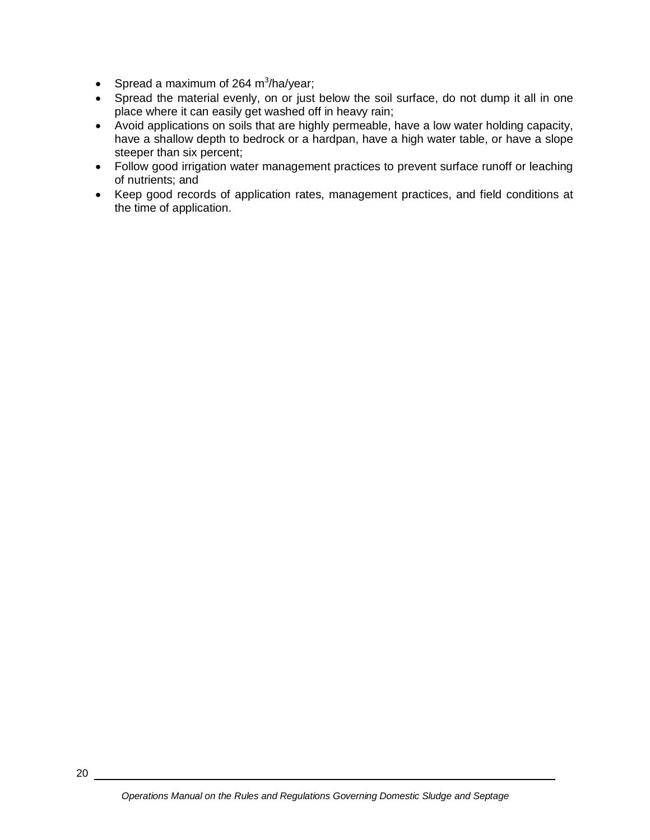- Spread a maximum of 264 m<sup>3</sup>/ha/year;
- Spread the material evenly, on or just below the soil surface, do not dump it all in one place where it can easily get washed off in heavy rain;
- Avoid applications on soils that are highly permeable, have a low water holding capacity, have a shallow depth to bedrock or a hardpan, have a high water table, or have a slope steeper than six percent;
- Follow good irrigation water management practices to prevent surface runoff or leaching of nutrients; and
- Keep good records of application rates, management practices, and field conditions at the time of application.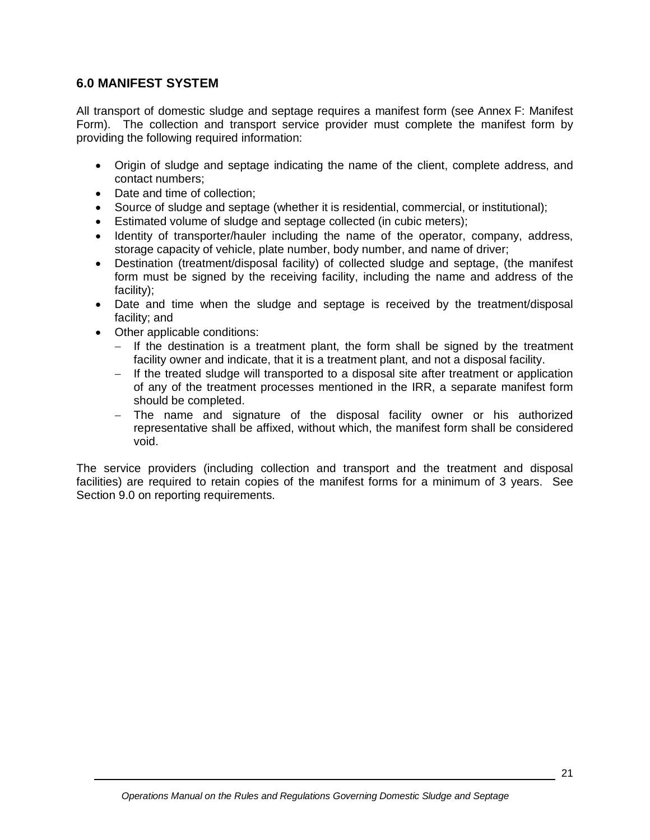# **6.0 MANIFEST SYSTEM**

All transport of domestic sludge and septage requires a manifest form (see Annex F: Manifest Form). The collection and transport service provider must complete the manifest form by providing the following required information:

- Origin of sludge and septage indicating the name of the client, complete address, and contact numbers;
- Date and time of collection;
- Source of sludge and septage (whether it is residential, commercial, or institutional);
- Estimated volume of sludge and septage collected (in cubic meters);
- Identity of transporter/hauler including the name of the operator, company, address, storage capacity of vehicle, plate number, body number, and name of driver;
- Destination (treatment/disposal facility) of collected sludge and septage, (the manifest form must be signed by the receiving facility, including the name and address of the facility);
- Date and time when the sludge and septage is received by the treatment/disposal facility; and
- Other applicable conditions:
	- $-$  If the destination is a treatment plant, the form shall be signed by the treatment facility owner and indicate, that it is a treatment plant, and not a disposal facility.
	- If the treated sludge will transported to a disposal site after treatment or application of any of the treatment processes mentioned in the IRR, a separate manifest form should be completed.
	- The name and signature of the disposal facility owner or his authorized representative shall be affixed, without which, the manifest form shall be considered void.

The service providers (including collection and transport and the treatment and disposal facilities) are required to retain copies of the manifest forms for a minimum of 3 years. See Section 9.0 on reporting requirements.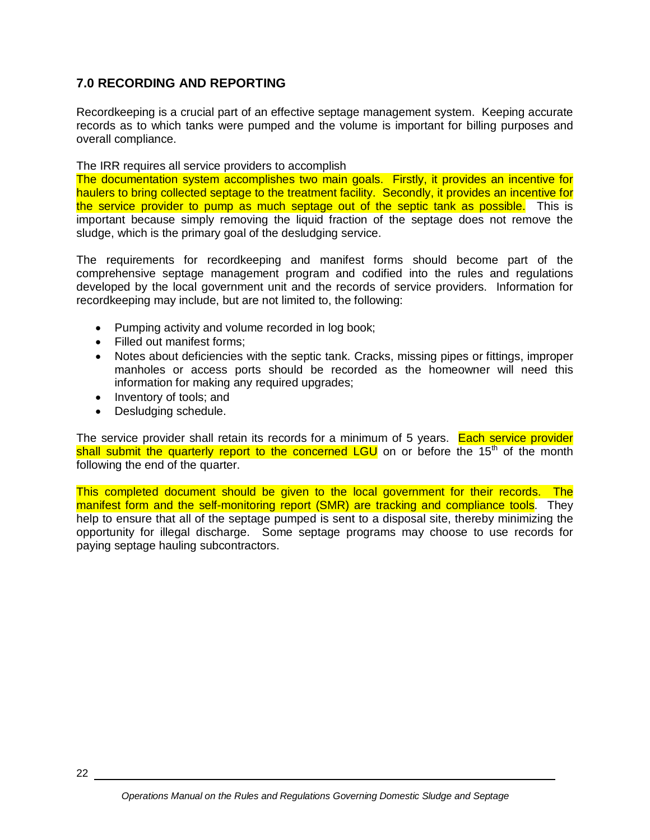# **7.0 RECORDING AND REPORTING**

Recordkeeping is a crucial part of an effective septage management system. Keeping accurate records as to which tanks were pumped and the volume is important for billing purposes and overall compliance.

The IRR requires all service providers to accomplish

The documentation system accomplishes two main goals. Firstly, it provides an incentive for haulers to bring collected septage to the treatment facility. Secondly, it provides an incentive for the service provider to pump as much septage out of the septic tank as possible. This is important because simply removing the liquid fraction of the septage does not remove the sludge, which is the primary goal of the desludging service.

The requirements for recordkeeping and manifest forms should become part of the comprehensive septage management program and codified into the rules and regulations developed by the local government unit and the records of service providers. Information for recordkeeping may include, but are not limited to, the following:

- Pumping activity and volume recorded in log book;
- Filled out manifest forms:
- Notes about deficiencies with the septic tank. Cracks, missing pipes or fittings, improper manholes or access ports should be recorded as the homeowner will need this information for making any required upgrades;
- Inventory of tools; and
- Desludging schedule.

The service provider shall retain its records for a minimum of 5 years. Each service provider shall submit the quarterly report to the concerned LGU on or before the 15<sup>th</sup> of the month following the end of the quarter.

This completed document should be given to the local government for their records. The manifest form and the self-monitoring report (SMR) are tracking and compliance tools. They help to ensure that all of the septage pumped is sent to a disposal site, thereby minimizing the opportunity for illegal discharge. Some septage programs may choose to use records for paying septage hauling subcontractors.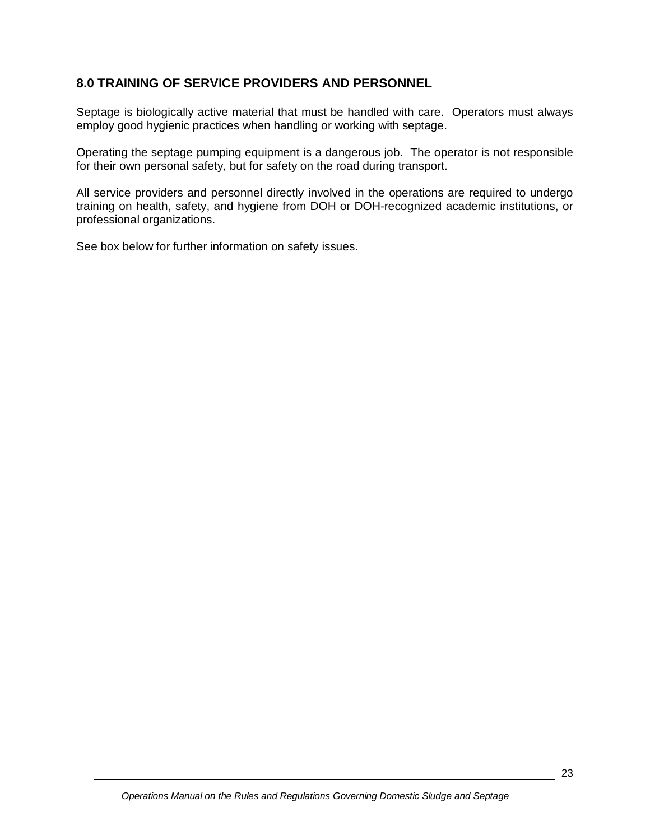# **8.0 TRAINING OF SERVICE PROVIDERS AND PERSONNEL**

Septage is biologically active material that must be handled with care. Operators must always employ good hygienic practices when handling or working with septage.

Operating the septage pumping equipment is a dangerous job. The operator is not responsible for their own personal safety, but for safety on the road during transport.

All service providers and personnel directly involved in the operations are required to undergo training on health, safety, and hygiene from DOH or DOH-recognized academic institutions, or professional organizations.

See box below for further information on safety issues.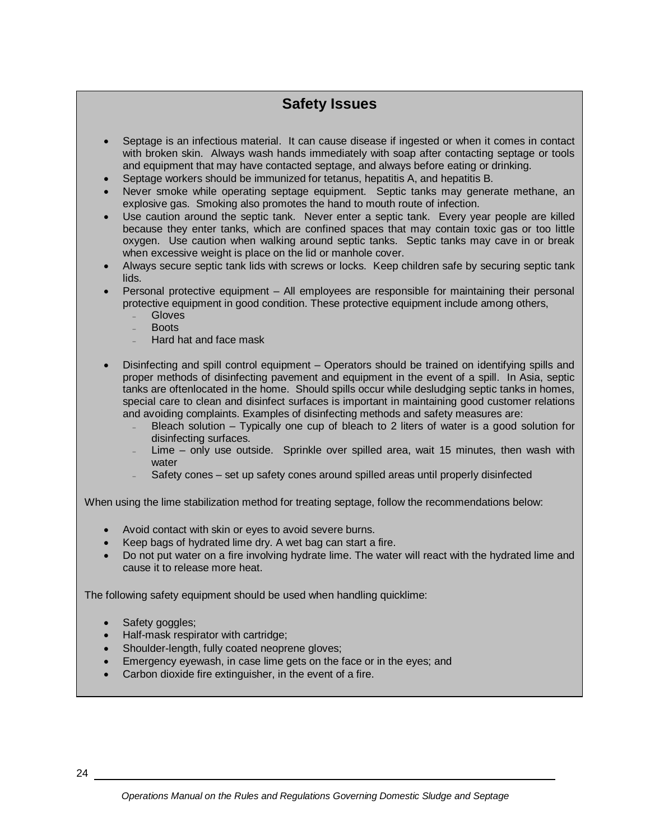# **Safety Issues**

- Septage is an infectious material. It can cause disease if ingested or when it comes in contact with broken skin. Always wash hands immediately with soap after contacting septage or tools and equipment that may have contacted septage, and always before eating or drinking.
- Septage workers should be immunized for tetanus, hepatitis A, and hepatitis B.
- Never smoke while operating septage equipment. Septic tanks may generate methane, an explosive gas. Smoking also promotes the hand to mouth route of infection.
- Use caution around the septic tank. Never enter a septic tank. Every year people are killed because they enter tanks, which are confined spaces that may contain toxic gas or too little oxygen. Use caution when walking around septic tanks. Septic tanks may cave in or break when excessive weight is place on the lid or manhole cover.
- Always secure septic tank lids with screws or locks. Keep children safe by securing septic tank lids.
- Personal protective equipment All employees are responsible for maintaining their personal protective equipment in good condition. These protective equipment include among others,
	- **Gloves**
	- **Boots**
	- Hard hat and face mask
- Disinfecting and spill control equipment Operators should be trained on identifying spills and proper methods of disinfecting pavement and equipment in the event of a spill. In Asia, septic tanks are oftenlocated in the home. Should spills occur while desludging septic tanks in homes, special care to clean and disinfect surfaces is important in maintaining good customer relations and avoiding complaints. Examples of disinfecting methods and safety measures are:
	- Bleach solution Typically one cup of bleach to 2 liters of water is a good solution for disinfecting surfaces.
	- Lime only use outside. Sprinkle over spilled area, wait 15 minutes, then wash with water
	- Safety cones set up safety cones around spilled areas until properly disinfected

When using the lime stabilization method for treating septage, follow the recommendations below:

- Avoid contact with skin or eyes to avoid severe burns.
- Keep bags of hydrated lime dry. A wet bag can start a fire.
- Do not put water on a fire involving hydrate lime. The water will react with the hydrated lime and cause it to release more heat.

The following safety equipment should be used when handling quicklime:

- Safety goggles;
- Half-mask respirator with cartridge;
- Shoulder-length, fully coated neoprene gloves;
- Emergency eyewash, in case lime gets on the face or in the eyes; and
- Carbon dioxide fire extinguisher, in the event of a fire.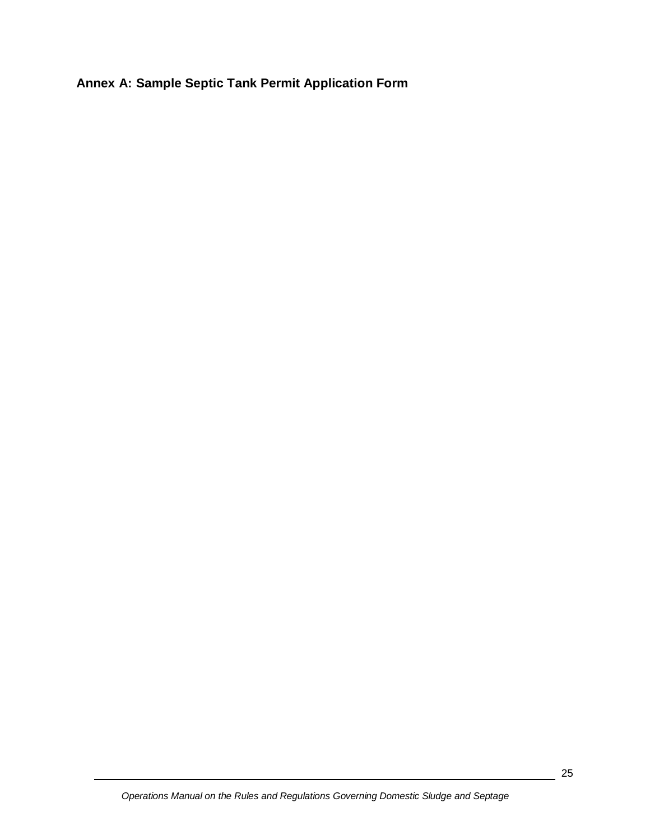**Annex A: Sample Septic Tank Permit Application Form**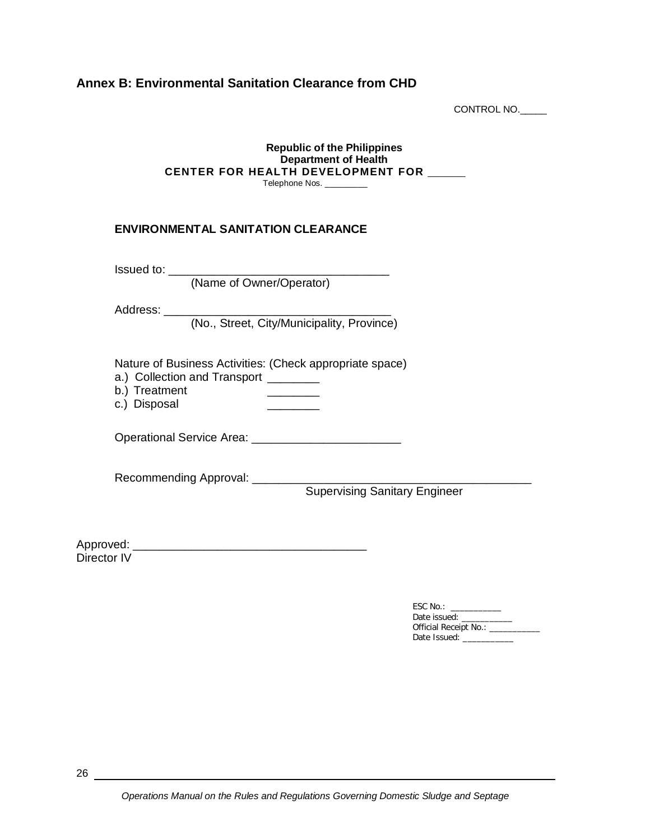## **Annex B: Environmental Sanitation Clearance from CHD**

CONTROL NO.\_\_\_\_\_

#### **Republic of the Philippines Department of Health CENTER FOR HEALTH DEVELOPMENT FOR** \_\_\_\_\_\_\_\_ Telephone Nos. \_\_\_\_\_\_\_\_\_

#### **ENVIRONMENTAL SANITATION CLEARANCE**

Issued to: \_\_\_\_\_\_\_\_\_\_\_\_\_\_\_\_\_\_\_\_\_\_\_\_\_\_\_\_\_\_\_\_\_\_

(Name of Owner/Operator)

Address: \_\_\_\_\_

(No., Street, City/Municipality, Province)

Nature of Business Activities: (Check appropriate space)

- a.) Collection and Transport \_\_\_\_\_\_\_\_
- b.) Treatment \_\_\_\_\_\_\_\_
- c.) Disposal 2000

Operational Service Area: \_\_\_\_\_\_\_\_\_\_\_\_\_\_\_\_\_\_\_\_\_\_\_

Recommending Approval: \_\_\_\_\_\_\_\_\_

Supervising Sanitary Engineer

Approved: \_\_\_\_\_\_\_\_\_\_\_\_\_\_\_\_\_\_\_\_\_\_\_\_\_\_\_\_\_\_\_\_\_\_\_\_ Director IV

> ESC No.: \_\_\_\_\_\_\_\_\_\_\_\_<br>Date issued: \_\_\_\_\_\_\_\_\_\_ Date issued: \_\_\_\_\_\_\_\_\_\_\_ Official Receipt No.: \_\_\_\_\_\_\_\_\_\_\_\_ Date Issued: \_\_\_\_\_\_\_\_\_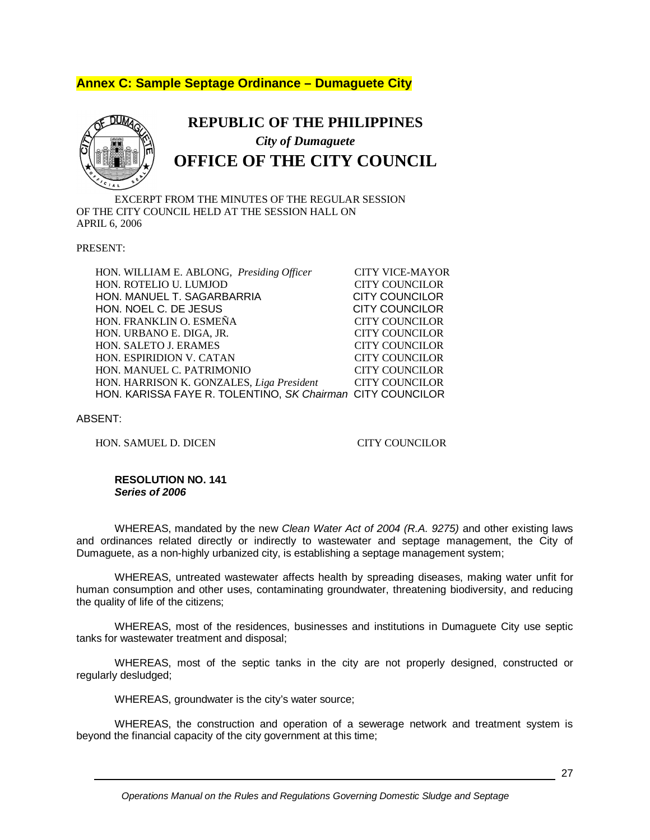# **Annex C: Sample Septage Ordinance – Dumaguete City**



# **REPUBLIC OF THE PHILIPPINES** *City of Dumaguete* **OFFICE OF THE CITY COUNCIL**

EXCERPT FROM THE MINUTES OF THE REGULAR SESSION OF THE CITY COUNCIL HELD AT THE SESSION HALL ON APRIL 6, 2006

PRESENT:

HON. WILLIAM E. ABLONG, *Presiding Officer* CITY VICE-MAYOR<br>HON. ROTELIO U. LUMJOD CITY COUNCILOR HON. ROTELIO U. LUMJOD HON. MANUEL T. SAGARBARRIA CITY COUNCILOR HON. NOEL C. DE JESUS CITY COUNCILOR HON. FRANKLIN O. ESMEÑA CITY COUNCILOR HON. URBANO E. DIGA, JR. CITY COUNCILOR HON. SALETO J. ERAMES CITY COUNCILOR HON. ESPIRIDION V. CATAN CITY COUNCILOR HON. MANUEL C. PATRIMONIO CITY COUNCILOR HON. HARRISON K. GONZALES, *Liga President* CITY COUNCILOR HON. KARISSA FAYE R. TOLENTINO, *SK Chairman* CITY COUNCILOR

ABSENT:

HON. SAMUEL D. DICEN CITY COUNCILOR

#### **RESOLUTION NO. 141** *Series of 2006*

WHEREAS, mandated by the new *Clean Water Act of 2004 (R.A. 9275)* and other existing laws and ordinances related directly or indirectly to wastewater and septage management, the City of Dumaguete, as a non-highly urbanized city, is establishing a septage management system;

WHEREAS, untreated wastewater affects health by spreading diseases, making water unfit for human consumption and other uses, contaminating groundwater, threatening biodiversity, and reducing the quality of life of the citizens;

WHEREAS, most of the residences, businesses and institutions in Dumaguete City use septic tanks for wastewater treatment and disposal;

WHEREAS, most of the septic tanks in the city are not properly designed, constructed or regularly desludged;

WHEREAS, groundwater is the city's water source;

WHEREAS, the construction and operation of a sewerage network and treatment system is beyond the financial capacity of the city government at this time;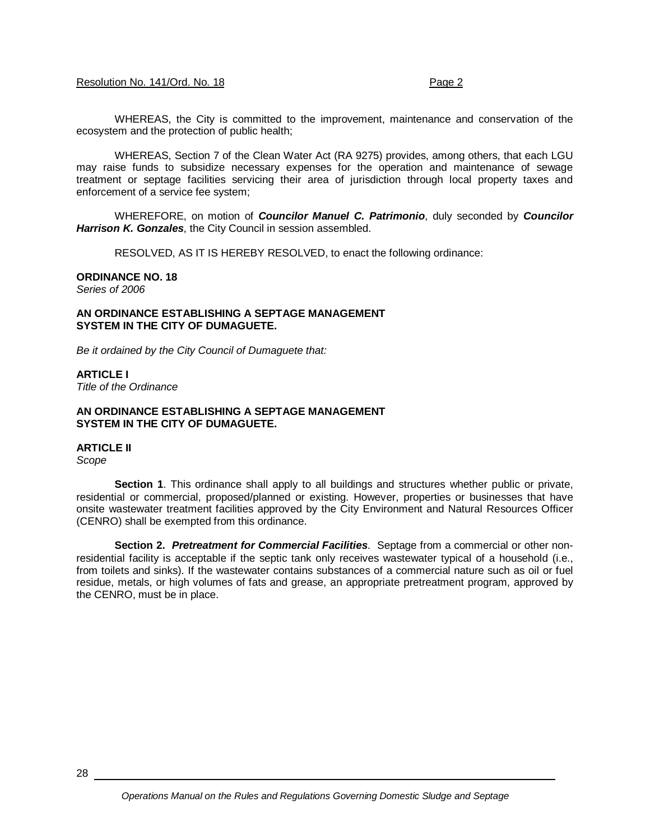#### Resolution No. 141/Ord. No. 18 Page 2

WHEREAS, the City is committed to the improvement, maintenance and conservation of the ecosystem and the protection of public health;

WHEREAS, Section 7 of the Clean Water Act (RA 9275) provides, among others, that each LGU may raise funds to subsidize necessary expenses for the operation and maintenance of sewage treatment or septage facilities servicing their area of jurisdiction through local property taxes and enforcement of a service fee system;

WHEREFORE, on motion of *Councilor Manuel C. Patrimonio*, duly seconded by *Councilor Harrison K. Gonzales*, the City Council in session assembled.

RESOLVED, AS IT IS HEREBY RESOLVED, to enact the following ordinance:

#### **ORDINANCE NO. 18**

*Series of 2006*

#### **AN ORDINANCE ESTABLISHING A SEPTAGE MANAGEMENT SYSTEM IN THE CITY OF DUMAGUETE.**

*Be it ordained by the City Council of Dumaguete that:*

#### **ARTICLE I**

*Title of the Ordinance*

#### **AN ORDINANCE ESTABLISHING A SEPTAGE MANAGEMENT SYSTEM IN THE CITY OF DUMAGUETE.**

#### **ARTICLE II**

*Scope*

**Section 1**. This ordinance shall apply to all buildings and structures whether public or private, residential or commercial, proposed/planned or existing. However, properties or businesses that have onsite wastewater treatment facilities approved by the City Environment and Natural Resources Officer (CENRO) shall be exempted from this ordinance.

**Section 2.** *Pretreatment for Commercial Facilities*. Septage from a commercial or other nonresidential facility is acceptable if the septic tank only receives wastewater typical of a household (i.e., from toilets and sinks). If the wastewater contains substances of a commercial nature such as oil or fuel residue, metals, or high volumes of fats and grease, an appropriate pretreatment program, approved by the CENRO, must be in place.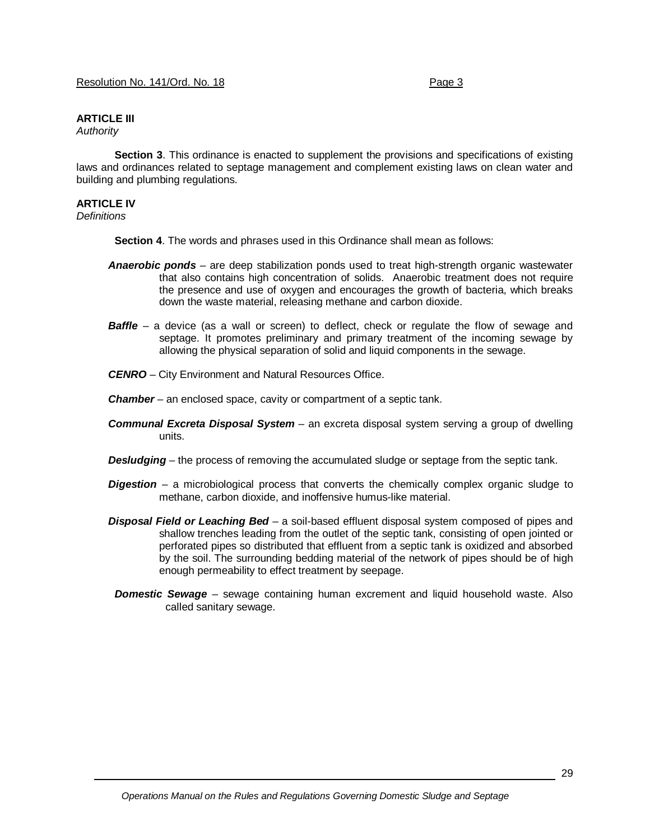## **ARTICLE III**

*Authority*

**Section 3**. This ordinance is enacted to supplement the provisions and specifications of existing laws and ordinances related to septage management and complement existing laws on clean water and building and plumbing regulations.

#### **ARTICLE IV**

*Definitions* 

**Section 4**. The words and phrases used in this Ordinance shall mean as follows:

- *Anaerobic ponds* are deep stabilization ponds used to treat high-strength organic wastewater that also contains high concentration of solids. Anaerobic treatment does not require the presence and use of oxygen and encourages the growth of bacteria, which breaks down the waste material, releasing methane and carbon dioxide.
- **Baffle** a device (as a wall or screen) to deflect, check or regulate the flow of sewage and septage. It promotes preliminary and primary treatment of the incoming sewage by allowing the physical separation of solid and liquid components in the sewage.
- *CENRO* City Environment and Natural Resources Office.
- *Chamber* an enclosed space, cavity or compartment of a septic tank.
- *Communal Excreta Disposal System* an excreta disposal system serving a group of dwelling units.
- **Desludging** the process of removing the accumulated sludge or septage from the septic tank.
- *Digestion* a microbiological process that converts the chemically complex organic sludge to methane, carbon dioxide, and inoffensive humus-like material.
- *Disposal Field or Leaching Bed* a soil-based effluent disposal system composed of pipes and shallow trenches leading from the outlet of the septic tank, consisting of open jointed or perforated pipes so distributed that effluent from a septic tank is oxidized and absorbed by the soil. The surrounding bedding material of the network of pipes should be of high enough permeability to effect treatment by seepage.
- *Domestic Sewage* sewage containing human excrement and liquid household waste. Also called sanitary sewage.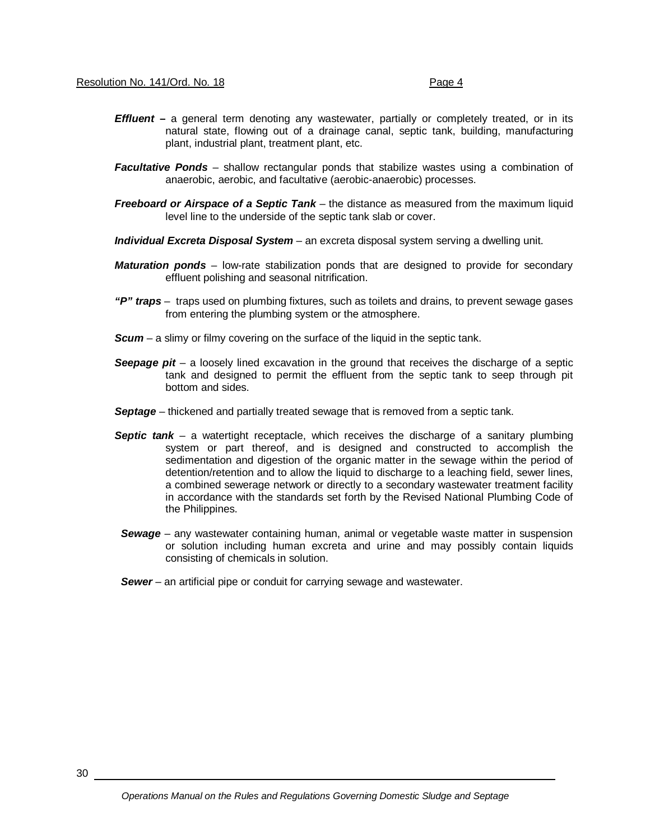- *Effluent* a general term denoting any wastewater, partially or completely treated, or in its natural state, flowing out of a drainage canal, septic tank, building, manufacturing plant, industrial plant, treatment plant, etc.
- *Facultative Ponds* shallow rectangular ponds that stabilize wastes using a combination of anaerobic, aerobic, and facultative (aerobic-anaerobic) processes.
- **Freeboard or Airspace of a Septic Tank** the distance as measured from the maximum liquid level line to the underside of the septic tank slab or cover.
- *Individual Excreta Disposal System* an excreta disposal system serving a dwelling unit.
- *Maturation ponds* low-rate stabilization ponds that are designed to provide for secondary effluent polishing and seasonal nitrification.
- *"P" traps* traps used on plumbing fixtures, such as toilets and drains, to prevent sewage gases from entering the plumbing system or the atmosphere.
- **Scum** a slimy or filmy covering on the surface of the liquid in the septic tank.
- *Seepage pit* a loosely lined excavation in the ground that receives the discharge of a septic tank and designed to permit the effluent from the septic tank to seep through pit bottom and sides.
- *Septage* thickened and partially treated sewage that is removed from a septic tank.
- **Septic tank** a watertight receptacle, which receives the discharge of a sanitary plumbing system or part thereof, and is designed and constructed to accomplish the sedimentation and digestion of the organic matter in the sewage within the period of detention/retention and to allow the liquid to discharge to a leaching field, sewer lines, a combined sewerage network or directly to a secondary wastewater treatment facility in accordance with the standards set forth by the Revised National Plumbing Code of the Philippines.
- *Sewage* any wastewater containing human, animal or vegetable waste matter in suspension or solution including human excreta and urine and may possibly contain liquids consisting of chemicals in solution.
- *Sewer* an artificial pipe or conduit for carrying sewage and wastewater.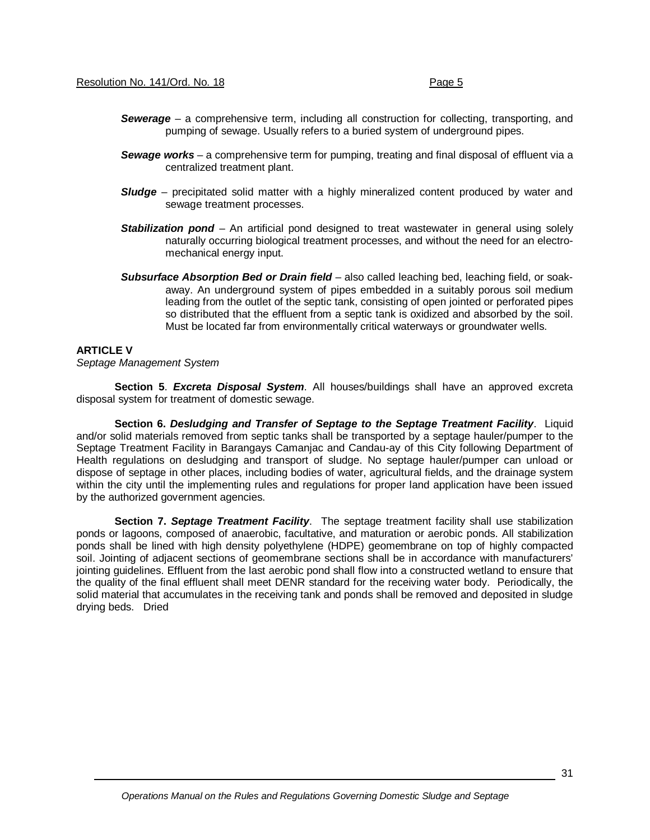- *Sewerage* a comprehensive term, including all construction for collecting, transporting, and pumping of sewage. Usually refers to a buried system of underground pipes.
- *Sewage works* a comprehensive term for pumping, treating and final disposal of effluent via a centralized treatment plant.
- **Sludge** precipitated solid matter with a highly mineralized content produced by water and sewage treatment processes.
- **Stabilization pond** An artificial pond designed to treat wastewater in general using solely naturally occurring biological treatment processes, and without the need for an electromechanical energy input.
- *Subsurface Absorption Bed or Drain field* also called leaching bed, leaching field, or soakaway. An underground system of pipes embedded in a suitably porous soil medium leading from the outlet of the septic tank, consisting of open jointed or perforated pipes so distributed that the effluent from a septic tank is oxidized and absorbed by the soil. Must be located far from environmentally critical waterways or groundwater wells.

#### **ARTICLE V**

*Septage Management System*

**Section 5**. *Excreta Disposal System*. All houses/buildings shall have an approved excreta disposal system for treatment of domestic sewage.

**Section 6.** *Desludging and Transfer of Septage to the Septage Treatment Facility*. Liquid and/or solid materials removed from septic tanks shall be transported by a septage hauler/pumper to the Septage Treatment Facility in Barangays Camanjac and Candau-ay of this City following Department of Health regulations on desludging and transport of sludge. No septage hauler/pumper can unload or dispose of septage in other places, including bodies of water, agricultural fields, and the drainage system within the city until the implementing rules and regulations for proper land application have been issued by the authorized government agencies.

**Section 7.** *Septage Treatment Facility*. The septage treatment facility shall use stabilization ponds or lagoons, composed of anaerobic, facultative, and maturation or aerobic ponds. All stabilization ponds shall be lined with high density polyethylene (HDPE) geomembrane on top of highly compacted soil. Jointing of adjacent sections of geomembrane sections shall be in accordance with manufacturers' jointing guidelines. Effluent from the last aerobic pond shall flow into a constructed wetland to ensure that the quality of the final effluent shall meet DENR standard for the receiving water body. Periodically, the solid material that accumulates in the receiving tank and ponds shall be removed and deposited in sludge drying beds. Dried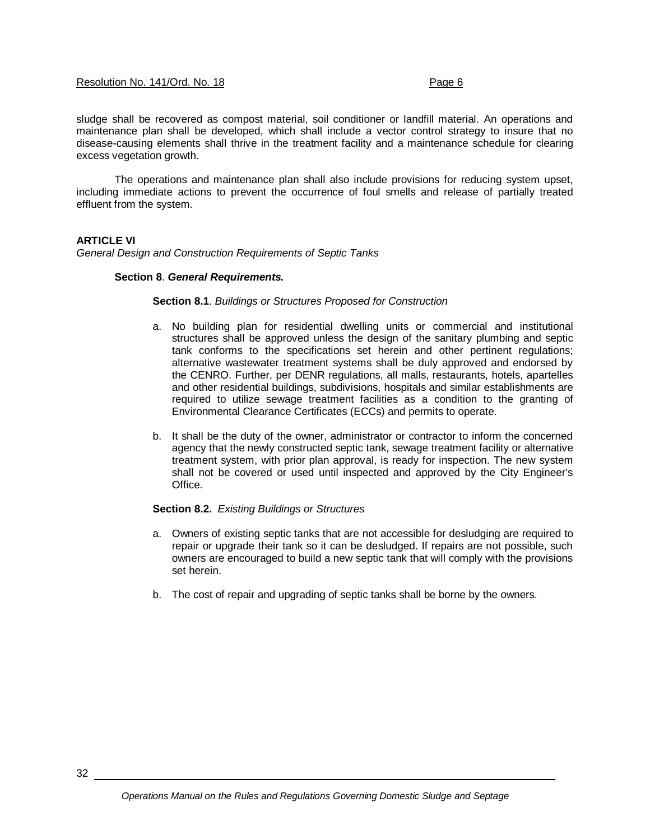#### Resolution No. 141/Ord. No. 18 Page 6

sludge shall be recovered as compost material, soil conditioner or landfill material. An operations and maintenance plan shall be developed, which shall include a vector control strategy to insure that no disease-causing elements shall thrive in the treatment facility and a maintenance schedule for clearing excess vegetation growth.

The operations and maintenance plan shall also include provisions for reducing system upset, including immediate actions to prevent the occurrence of foul smells and release of partially treated effluent from the system.

#### **ARTICLE VI**

*General Design and Construction Requirements of Septic Tanks*

#### **Section 8**. *General Requirements.*

#### **Section 8.1**. *Buildings or Structures Proposed for Construction*

- a. No building plan for residential dwelling units or commercial and institutional structures shall be approved unless the design of the sanitary plumbing and septic tank conforms to the specifications set herein and other pertinent regulations; alternative wastewater treatment systems shall be duly approved and endorsed by the CENRO. Further, per DENR regulations, all malls, restaurants, hotels, apartelles and other residential buildings, subdivisions, hospitals and similar establishments are required to utilize sewage treatment facilities as a condition to the granting of Environmental Clearance Certificates (ECCs) and permits to operate.
- b. It shall be the duty of the owner, administrator or contractor to inform the concerned agency that the newly constructed septic tank, sewage treatment facility or alternative treatment system, with prior plan approval, is ready for inspection. The new system shall not be covered or used until inspected and approved by the City Engineer's Office.

#### **Section 8.2.** *Existing Buildings or Structures*

- a. Owners of existing septic tanks that are not accessible for desludging are required to repair or upgrade their tank so it can be desludged. If repairs are not possible, such owners are encouraged to build a new septic tank that will comply with the provisions set herein.
- b. The cost of repair and upgrading of septic tanks shall be borne by the owners.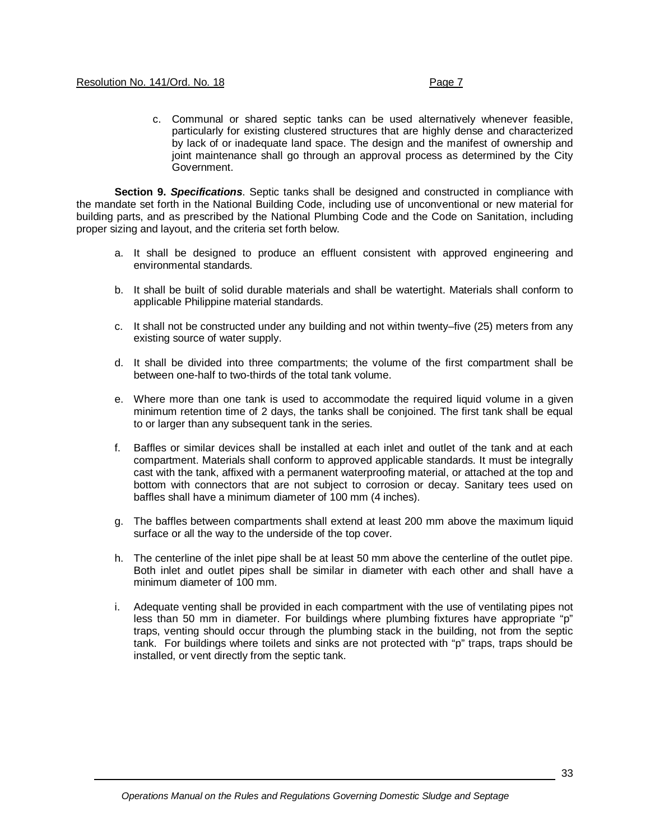c. Communal or shared septic tanks can be used alternatively whenever feasible, particularly for existing clustered structures that are highly dense and characterized by lack of or inadequate land space. The design and the manifest of ownership and joint maintenance shall go through an approval process as determined by the City Government.

**Section 9.** *Specifications*. Septic tanks shall be designed and constructed in compliance with the mandate set forth in the National Building Code, including use of unconventional or new material for building parts, and as prescribed by the National Plumbing Code and the Code on Sanitation, including proper sizing and layout, and the criteria set forth below.

- a. It shall be designed to produce an effluent consistent with approved engineering and environmental standards.
- b. It shall be built of solid durable materials and shall be watertight. Materials shall conform to applicable Philippine material standards.
- c. It shall not be constructed under any building and not within twenty–five (25) meters from any existing source of water supply.
- d. It shall be divided into three compartments; the volume of the first compartment shall be between one-half to two-thirds of the total tank volume.
- e. Where more than one tank is used to accommodate the required liquid volume in a given minimum retention time of 2 days, the tanks shall be conjoined. The first tank shall be equal to or larger than any subsequent tank in the series.
- f. Baffles or similar devices shall be installed at each inlet and outlet of the tank and at each compartment. Materials shall conform to approved applicable standards. It must be integrally cast with the tank, affixed with a permanent waterproofing material, or attached at the top and bottom with connectors that are not subject to corrosion or decay. Sanitary tees used on baffles shall have a minimum diameter of 100 mm (4 inches).
- g. The baffles between compartments shall extend at least 200 mm above the maximum liquid surface or all the way to the underside of the top cover.
- h. The centerline of the inlet pipe shall be at least 50 mm above the centerline of the outlet pipe. Both inlet and outlet pipes shall be similar in diameter with each other and shall have a minimum diameter of 100 mm.
- i. Adequate venting shall be provided in each compartment with the use of ventilating pipes not less than 50 mm in diameter. For buildings where plumbing fixtures have appropriate "p" traps, venting should occur through the plumbing stack in the building, not from the septic tank. For buildings where toilets and sinks are not protected with "p" traps, traps should be installed, or vent directly from the septic tank.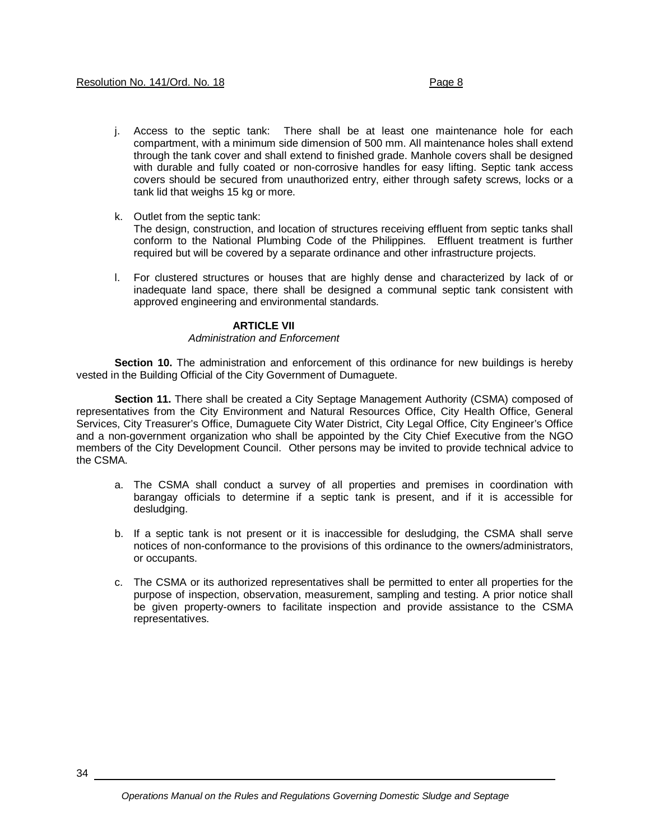- j. Access to the septic tank: There shall be at least one maintenance hole for each compartment, with a minimum side dimension of 500 mm. All maintenance holes shall extend through the tank cover and shall extend to finished grade. Manhole covers shall be designed with durable and fully coated or non-corrosive handles for easy lifting. Septic tank access covers should be secured from unauthorized entry, either through safety screws, locks or a tank lid that weighs 15 kg or more.
- k. Outlet from the septic tank:

The design, construction, and location of structures receiving effluent from septic tanks shall conform to the National Plumbing Code of the Philippines. Effluent treatment is further required but will be covered by a separate ordinance and other infrastructure projects.

l. For clustered structures or houses that are highly dense and characterized by lack of or inadequate land space, there shall be designed a communal septic tank consistent with approved engineering and environmental standards.

#### **ARTICLE VII**

#### *Administration and Enforcement*

**Section 10.** The administration and enforcement of this ordinance for new buildings is hereby vested in the Building Official of the City Government of Dumaguete.

**Section 11.** There shall be created a City Septage Management Authority (CSMA) composed of representatives from the City Environment and Natural Resources Office, City Health Office, General Services, City Treasurer's Office, Dumaguete City Water District, City Legal Office, City Engineer's Office and a non-government organization who shall be appointed by the City Chief Executive from the NGO members of the City Development Council. Other persons may be invited to provide technical advice to the CSMA.

- a. The CSMA shall conduct a survey of all properties and premises in coordination with barangay officials to determine if a septic tank is present, and if it is accessible for desludging.
- b. If a septic tank is not present or it is inaccessible for desludging, the CSMA shall serve notices of non-conformance to the provisions of this ordinance to the owners/administrators, or occupants.
- c. The CSMA or its authorized representatives shall be permitted to enter all properties for the purpose of inspection, observation, measurement, sampling and testing. A prior notice shall be given property-owners to facilitate inspection and provide assistance to the CSMA representatives.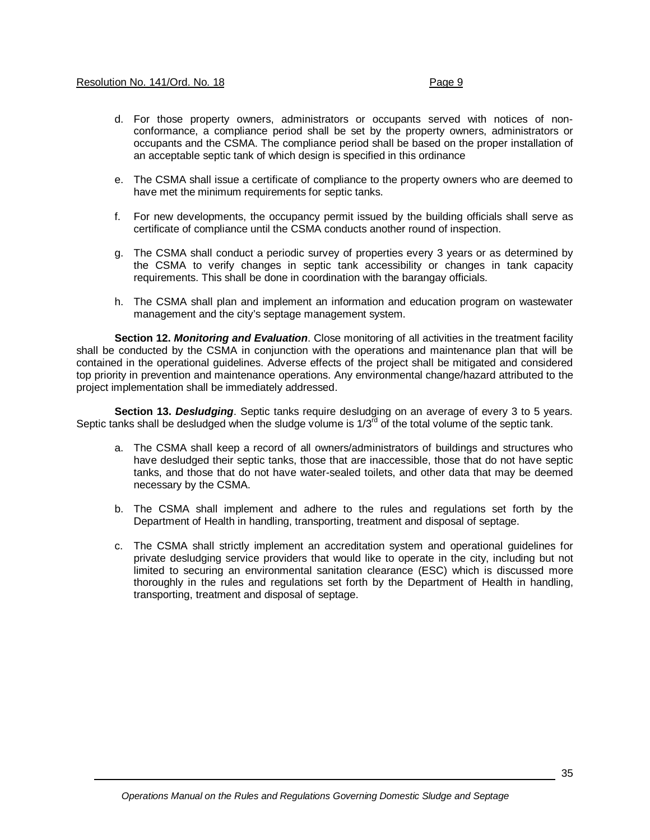- d. For those property owners, administrators or occupants served with notices of nonconformance, a compliance period shall be set by the property owners, administrators or occupants and the CSMA. The compliance period shall be based on the proper installation of an acceptable septic tank of which design is specified in this ordinance
- e. The CSMA shall issue a certificate of compliance to the property owners who are deemed to have met the minimum requirements for septic tanks.
- f. For new developments, the occupancy permit issued by the building officials shall serve as certificate of compliance until the CSMA conducts another round of inspection.
- g. The CSMA shall conduct a periodic survey of properties every 3 years or as determined by the CSMA to verify changes in septic tank accessibility or changes in tank capacity requirements. This shall be done in coordination with the barangay officials.
- h. The CSMA shall plan and implement an information and education program on wastewater management and the city's septage management system.

**Section 12.** *Monitoring and Evaluation*. Close monitoring of all activities in the treatment facility shall be conducted by the CSMA in conjunction with the operations and maintenance plan that will be contained in the operational guidelines. Adverse effects of the project shall be mitigated and considered top priority in prevention and maintenance operations. Any environmental change/hazard attributed to the project implementation shall be immediately addressed.

**Section 13.** *Desludging*. Septic tanks require desludging on an average of every 3 to 5 years. Septic tanks shall be desludged when the sludge volume is  $1/3<sup>rd</sup>$  of the total volume of the septic tank.

- a. The CSMA shall keep a record of all owners/administrators of buildings and structures who have desludged their septic tanks, those that are inaccessible, those that do not have septic tanks, and those that do not have water-sealed toilets, and other data that may be deemed necessary by the CSMA.
- b. The CSMA shall implement and adhere to the rules and regulations set forth by the Department of Health in handling, transporting, treatment and disposal of septage.
- c. The CSMA shall strictly implement an accreditation system and operational guidelines for private desludging service providers that would like to operate in the city, including but not limited to securing an environmental sanitation clearance (ESC) which is discussed more thoroughly in the rules and regulations set forth by the Department of Health in handling, transporting, treatment and disposal of septage.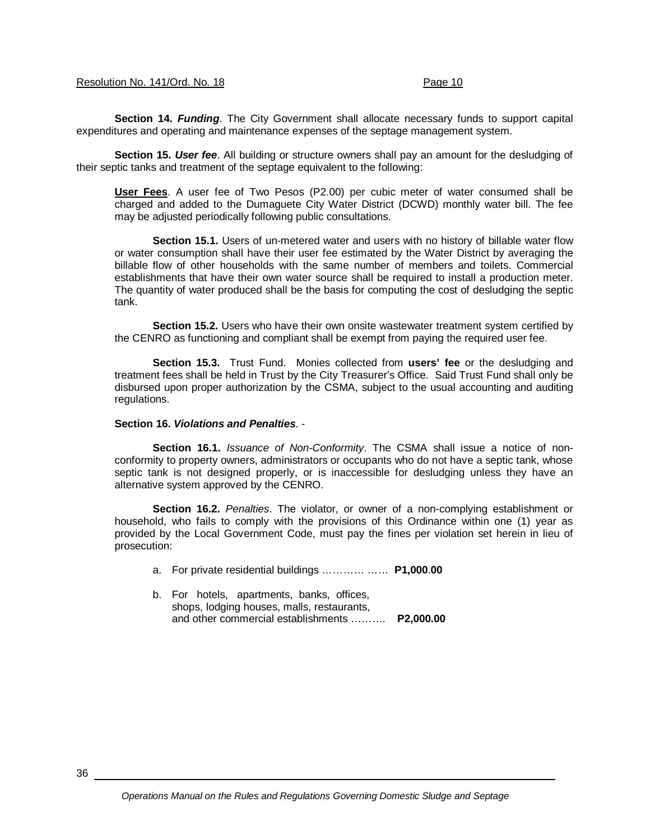#### Resolution No. 141/Ord. No. 18 Page 10

**Section 14.** *Funding*. The City Government shall allocate necessary funds to support capital expenditures and operating and maintenance expenses of the septage management system.

**Section 15.** *User fee*. All building or structure owners shall pay an amount for the desludging of their septic tanks and treatment of the septage equivalent to the following:

**User Fees**. A user fee of Two Pesos (P2.00) per cubic meter of water consumed shall be charged and added to the Dumaguete City Water District (DCWD) monthly water bill. The fee may be adjusted periodically following public consultations.

**Section 15.1.** Users of un-metered water and users with no history of billable water flow or water consumption shall have their user fee estimated by the Water District by averaging the billable flow of other households with the same number of members and toilets. Commercial establishments that have their own water source shall be required to install a production meter. The quantity of water produced shall be the basis for computing the cost of desludging the septic tank.

**Section 15.2.** Users who have their own onsite wastewater treatment system certified by the CENRO as functioning and compliant shall be exempt from paying the required user fee.

**Section 15.3.** Trust Fund. Monies collected from **users' fee** or the desludging and treatment fees shall be held in Trust by the City Treasurer's Office. Said Trust Fund shall only be disbursed upon proper authorization by the CSMA, subject to the usual accounting and auditing regulations.

#### **Section 16.** *Violations and Penalties*. -

**Section 16.1.** *Issuance of Non-Conformity*. The CSMA shall issue a notice of nonconformity to property owners, administrators or occupants who do not have a septic tank, whose septic tank is not designed properly, or is inaccessible for desludging unless they have an alternative system approved by the CENRO.

**Section 16.2.** *Penalties*. The violator, or owner of a non-complying establishment or household, who fails to comply with the provisions of this Ordinance within one (1) year as provided by the Local Government Code, must pay the fines per violation set herein in lieu of prosecution:

a. For private residential buildings ………… …… **P1,000**.**00**

b. For hotels, apartments, banks, offices, shops, lodging houses, malls, restaurants, and other commercial establishments ………. **P2,000.00**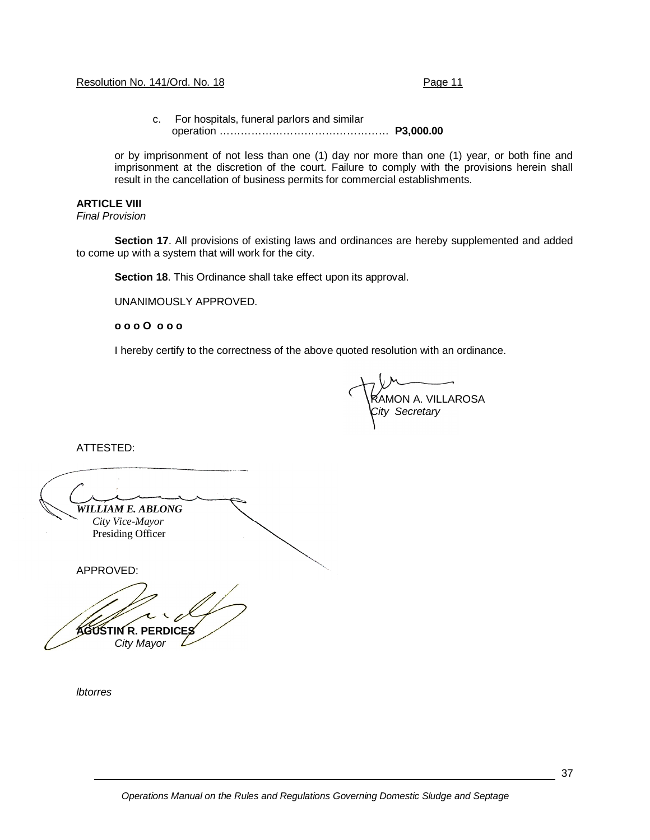#### Resolution No. 141/Ord. No. 18 Page 11

c. For hospitals, funeral parlors and similar operation ………………………………………… **P3,000.00**

or by imprisonment of not less than one (1) day nor more than one (1) year, or both fine and imprisonment at the discretion of the court. Failure to comply with the provisions herein shall result in the cancellation of business permits for commercial establishments.

#### **ARTICLE VIII**

*Final Provision*

**Section 17**. All provisions of existing laws and ordinances are hereby supplemented and added to come up with a system that will work for the city.

**Section 18**. This Ordinance shall take effect upon its approval.

UNANIMOUSLY APPROVED.

**o o o O o o o**

I hereby certify to the correctness of the above quoted resolution with an ordinance.

AMON A. VILLAROSA *City Secretary* 

ATTESTED:

*WILLIAM E. ABLONG City Vice-Mayor*  Presiding Officer APPROVED: **AGUSTIN R. PERDICES**

*City Mayor*

*lbtorres*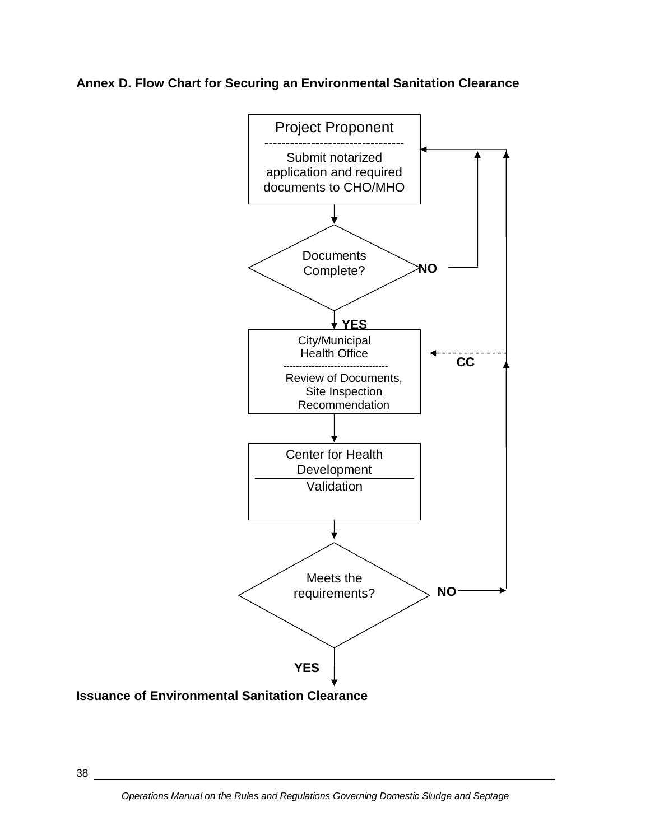**Annex D. Flow Chart for Securing an Environmental Sanitation Clearance**

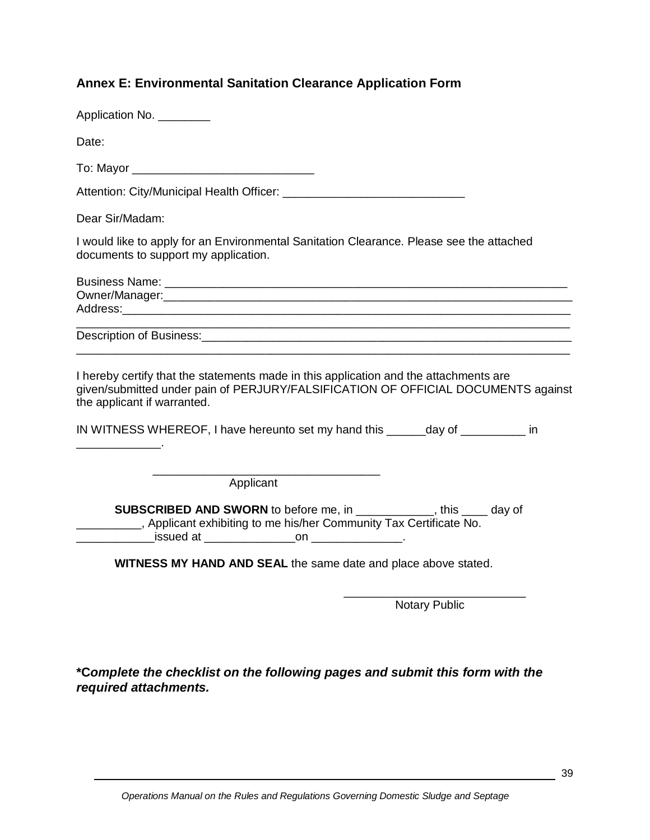# **Annex E: Environmental Sanitation Clearance Application Form**

| Application No. ________                                                                                                                                                                                                                                                                     |
|----------------------------------------------------------------------------------------------------------------------------------------------------------------------------------------------------------------------------------------------------------------------------------------------|
| Date:                                                                                                                                                                                                                                                                                        |
| To: Mayor __________________________________                                                                                                                                                                                                                                                 |
|                                                                                                                                                                                                                                                                                              |
| Dear Sir/Madam:                                                                                                                                                                                                                                                                              |
| I would like to apply for an Environmental Sanitation Clearance. Please see the attached<br>documents to support my application.                                                                                                                                                             |
|                                                                                                                                                                                                                                                                                              |
| <u> 1990 - Johann Stoff, amerikansk politik (d. 1980)</u>                                                                                                                                                                                                                                    |
| I hereby certify that the statements made in this application and the attachments are<br>given/submitted under pain of PERJURY/FALSIFICATION OF OFFICIAL DOCUMENTS against<br>the applicant if warranted.<br>IN WITNESS WHEREOF, I have hereunto set my hand this _______day of _________ in |
| Applicant                                                                                                                                                                                                                                                                                    |
| <b>SUBSCRIBED AND SWORN</b> to before me, in ___________, this ____ day of<br>_________, Applicant exhibiting to me his/her Community Tax Certificate No.                                                                                                                                    |
| WITNESS MY HAND AND SEAL the same date and place above stated.                                                                                                                                                                                                                               |
| <b>Notary Public</b>                                                                                                                                                                                                                                                                         |
|                                                                                                                                                                                                                                                                                              |

**\*C***omplete the checklist on the following pages and submit this form with the required attachments.*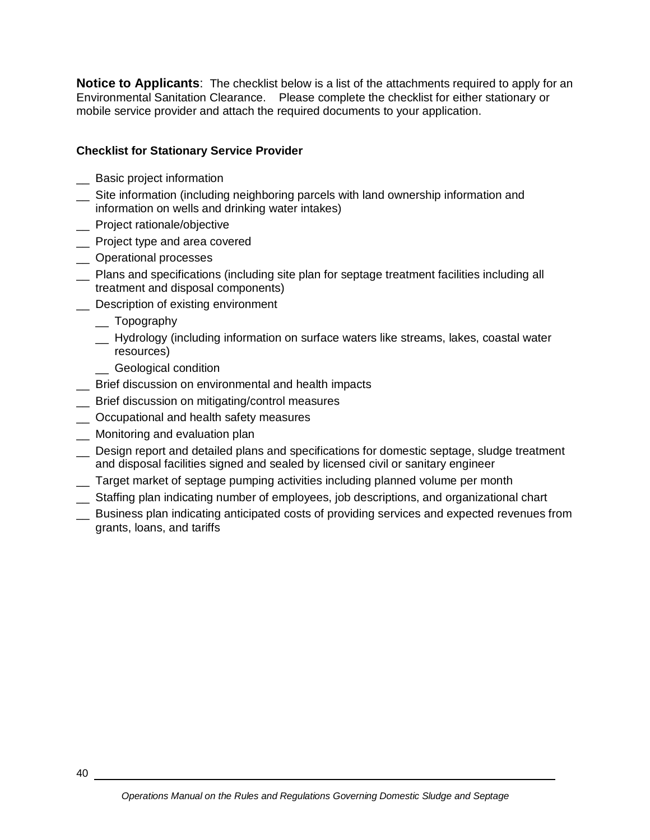**Notice to Applicants**: The checklist below is a list of the attachments required to apply for an Environmental Sanitation Clearance. Please complete the checklist for either stationary or mobile service provider and attach the required documents to your application.

# **Checklist for Stationary Service Provider**

- \_\_ Basic project information
- \_\_ Site information (including neighboring parcels with land ownership information and information on wells and drinking water intakes)
- \_ Project rationale/objective
- \_\_ Project type and area covered
- \_\_ Operational processes
- \_\_ Plans and specifications (including site plan for septage treatment facilities including all treatment and disposal components)
- \_\_ Description of existing environment
	- \_\_ Topography
	- \_\_ Hydrology (including information on surface waters like streams, lakes, coastal water resources)
	- \_\_ Geological condition
- \_\_ Brief discussion on environmental and health impacts
- \_\_ Brief discussion on mitigating/control measures
- $\equiv$  Occupational and health safety measures
- \_\_ Monitoring and evaluation plan
- \_\_ Design report and detailed plans and specifications for domestic septage, sludge treatment and disposal facilities signed and sealed by licensed civil or sanitary engineer
- \_\_ Target market of septage pumping activities including planned volume per month
- \_\_ Staffing plan indicating number of employees, job descriptions, and organizational chart
- Business plan indicating anticipated costs of providing services and expected revenues from grants, loans, and tariffs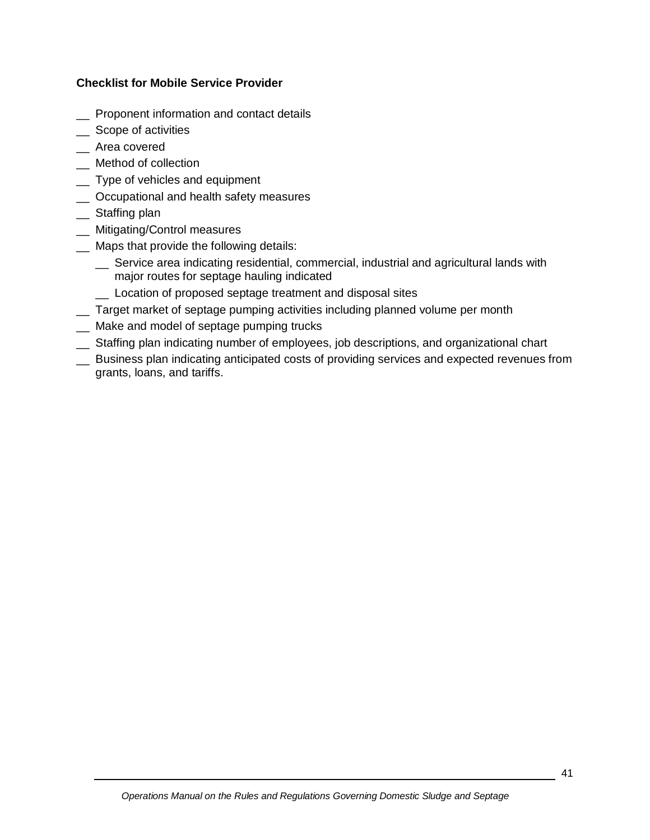## **Checklist for Mobile Service Provider**

- \_\_ Proponent information and contact details
- \_ Scope of activities
- \_\_ Area covered
- \_\_ Method of collection
- \_\_ Type of vehicles and equipment
- \_\_ Occupational and health safety measures
- \_\_ Staffing plan
- \_\_ Mitigating/Control measures
- \_\_ Maps that provide the following details:
	- \_\_ Service area indicating residential, commercial, industrial and agricultural lands with major routes for septage hauling indicated
	- \_\_ Location of proposed septage treatment and disposal sites
- \_\_ Target market of septage pumping activities including planned volume per month
- \_\_ Make and model of septage pumping trucks
- \_\_ Staffing plan indicating number of employees, job descriptions, and organizational chart
- \_\_ Business plan indicating anticipated costs of providing services and expected revenues from grants, loans, and tariffs.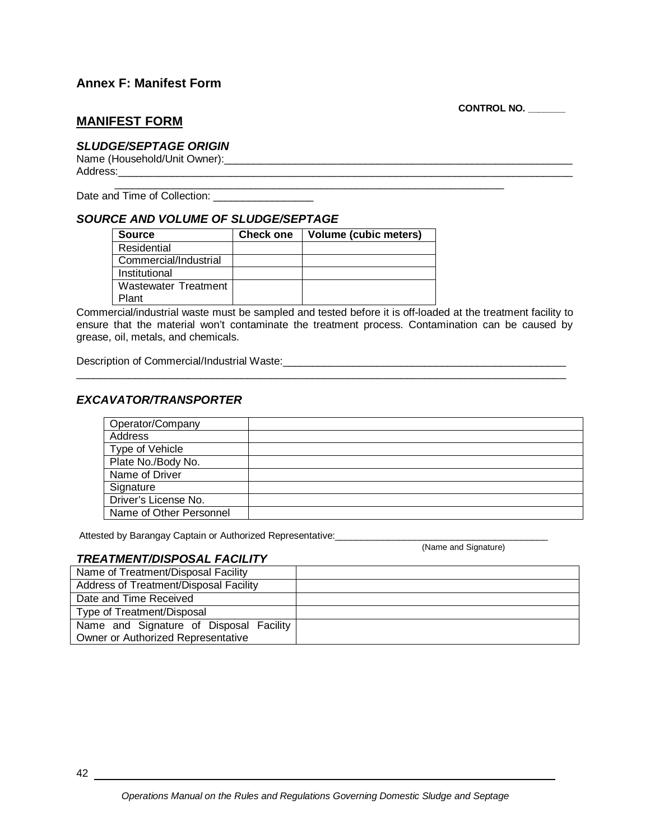## **Annex F: Manifest Form**

**CONTROL NO. \_\_\_\_\_\_\_**

## **MANIFEST FORM**

#### *SLUDGE/SEPTAGE ORIGIN*

Name (Household/Unit Owner):\_\_\_\_\_\_\_\_\_\_\_\_\_\_\_\_\_\_\_\_\_\_\_\_\_\_\_\_\_\_\_\_\_\_\_\_\_\_\_\_\_\_\_\_\_\_\_\_\_\_\_\_\_\_\_\_\_\_\_ Address:\_\_\_\_\_\_\_\_\_\_\_\_\_\_\_\_\_\_\_\_\_\_\_\_\_\_\_\_\_\_\_\_\_\_\_\_\_\_\_\_\_\_\_\_\_\_\_\_\_\_\_\_\_\_\_\_\_\_\_\_\_\_\_\_\_\_\_\_\_\_\_\_\_\_\_\_\_

 $\overline{\phantom{a}}$  , and the contribution of the contribution of the contribution of the contribution of the contribution of the contribution of the contribution of the contribution of the contribution of the contribution of the Date and Time of Collection:

#### *SOURCE AND VOLUME OF SLUDGE/SEPTAGE*

| Source                | <b>Check one</b> | Volume (cubic meters) |
|-----------------------|------------------|-----------------------|
| Residential           |                  |                       |
| Commercial/Industrial |                  |                       |
| Institutional         |                  |                       |
| Wastewater Treatment  |                  |                       |
| Plant                 |                  |                       |

Commercial/industrial waste must be sampled and tested before it is off-loaded at the treatment facility to ensure that the material won't contaminate the treatment process. Contamination can be caused by grease, oil, metals, and chemicals.

\_\_\_\_\_\_\_\_\_\_\_\_\_\_\_\_\_\_\_\_\_\_\_\_\_\_\_\_\_\_\_\_\_\_\_\_\_\_\_\_\_\_\_\_\_\_\_\_\_\_\_\_\_\_\_\_\_\_\_\_\_\_\_\_\_\_\_\_\_\_\_\_\_\_\_\_\_\_\_\_\_\_\_

Description of Commercial/Industrial Waste:\_\_\_\_\_\_\_\_\_\_\_\_\_\_\_\_\_\_\_\_\_\_\_\_\_\_\_\_\_\_\_\_\_\_\_\_\_\_\_\_\_\_\_\_\_\_\_\_

## *EXCAVATOR/TRANSPORTER*

| Operator/Company        |  |
|-------------------------|--|
| Address                 |  |
| Type of Vehicle         |  |
| Plate No./Body No.      |  |
| Name of Driver          |  |
| Signature               |  |
| Driver's License No.    |  |
| Name of Other Personnel |  |

Attested by Barangay Captain or Authorized Representative:\_\_\_\_\_\_\_\_\_\_\_\_\_\_\_\_\_\_\_\_\_\_\_\_\_\_\_\_\_\_\_\_\_\_\_\_\_\_\_\_

(Name and Signature)

#### *TREATMENT/DISPOSAL FACILITY*

| Name of Treatment/Disposal Facility     |  |
|-----------------------------------------|--|
| Address of Treatment/Disposal Facility  |  |
| Date and Time Received                  |  |
| Type of Treatment/Disposal              |  |
| Name and Signature of Disposal Facility |  |
| Owner or Authorized Representative      |  |